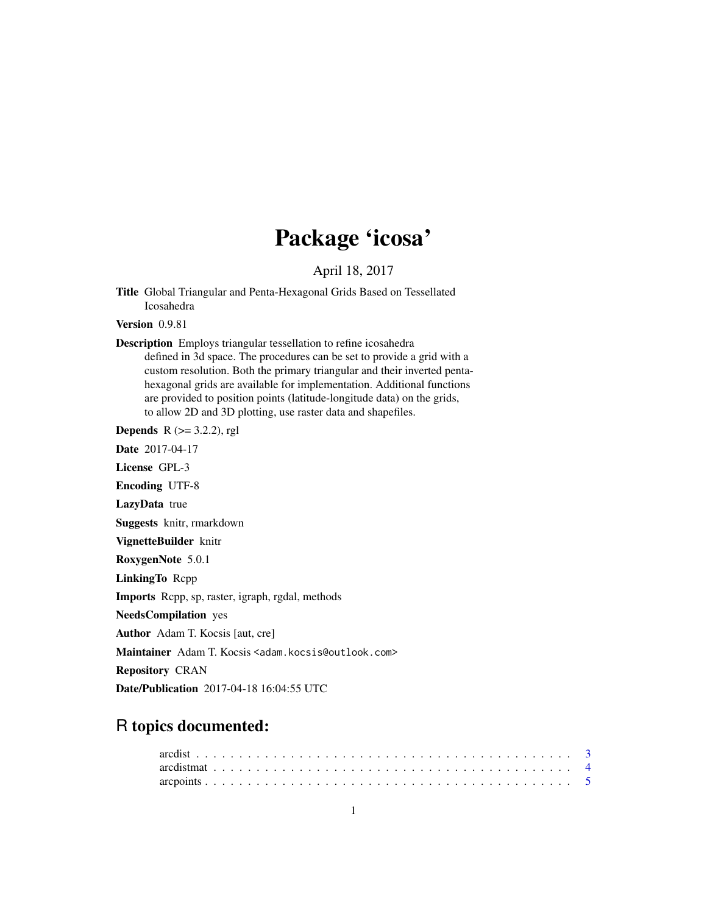# Package 'icosa'

April 18, 2017

<span id="page-0-0"></span>Title Global Triangular and Penta-Hexagonal Grids Based on Tessellated Icosahedra

Version 0.9.81

Description Employs triangular tessellation to refine icosahedra defined in 3d space. The procedures can be set to provide a grid with a custom resolution. Both the primary triangular and their inverted pentahexagonal grids are available for implementation. Additional functions are provided to position points (latitude-longitude data) on the grids, to allow 2D and 3D plotting, use raster data and shapefiles.

**Depends** R  $(>= 3.2.2)$ , rgl

Date 2017-04-17

License GPL-3

Encoding UTF-8

LazyData true

Suggests knitr, rmarkdown

VignetteBuilder knitr

RoxygenNote 5.0.1

LinkingTo Rcpp

Imports Rcpp, sp, raster, igraph, rgdal, methods

NeedsCompilation yes

Author Adam T. Kocsis [aut, cre]

Maintainer Adam T. Kocsis <adam.kocsis@outlook.com>

Repository CRAN

Date/Publication 2017-04-18 16:04:55 UTC

# R topics documented: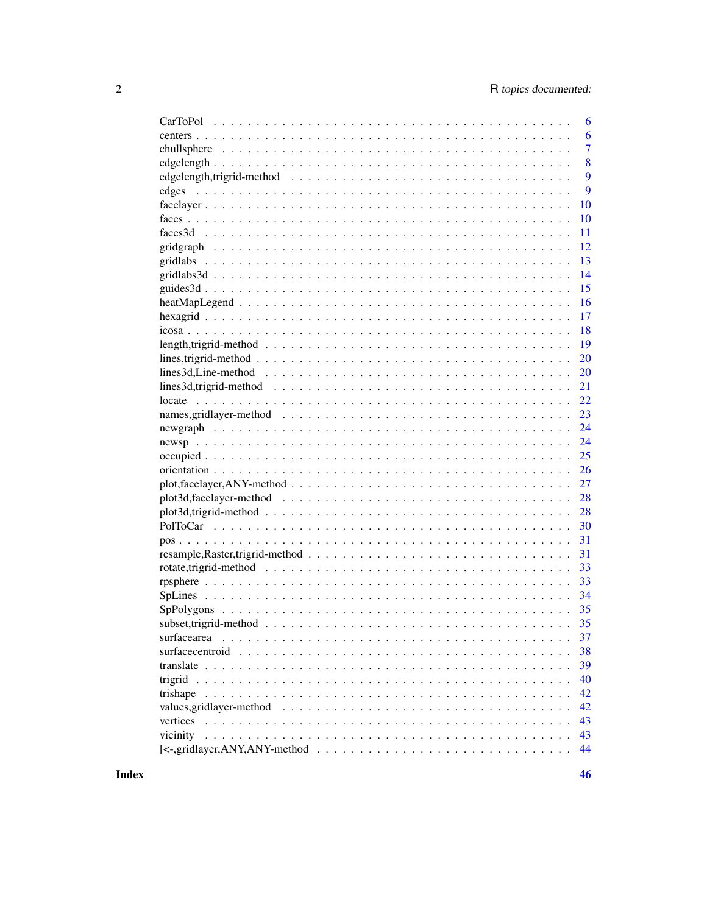| 6                                                                                                                       |
|-------------------------------------------------------------------------------------------------------------------------|
| 6                                                                                                                       |
| $\overline{7}$                                                                                                          |
| 8                                                                                                                       |
| 9                                                                                                                       |
| 9<br>edges                                                                                                              |
| 10                                                                                                                      |
| 10                                                                                                                      |
| 11                                                                                                                      |
| 12                                                                                                                      |
| 13                                                                                                                      |
| 14                                                                                                                      |
| 15                                                                                                                      |
| 16                                                                                                                      |
| 17                                                                                                                      |
| 18                                                                                                                      |
| 19                                                                                                                      |
| 20                                                                                                                      |
| lines3d, Line-method $\ldots \ldots \ldots \ldots \ldots \ldots \ldots \ldots \ldots \ldots \ldots \ldots \ldots$<br>20 |
| 21                                                                                                                      |
| 22                                                                                                                      |
| 23                                                                                                                      |
| 24                                                                                                                      |
| 24                                                                                                                      |
| 25                                                                                                                      |
| 26                                                                                                                      |
| 27                                                                                                                      |
| 28                                                                                                                      |
|                                                                                                                         |
| 28                                                                                                                      |
| 30                                                                                                                      |
| 31                                                                                                                      |
| 31                                                                                                                      |
| 33                                                                                                                      |
| 33                                                                                                                      |
| 34                                                                                                                      |
|                                                                                                                         |
| subset, trigrid-method $\ldots \ldots \ldots \ldots \ldots \ldots \ldots \ldots \ldots \ldots \ldots \ldots$<br>35      |
| 37<br>surfacearea                                                                                                       |
| 38                                                                                                                      |
| 39                                                                                                                      |
| 40                                                                                                                      |
| 42                                                                                                                      |
| 42                                                                                                                      |
| 43                                                                                                                      |
| vicinity<br>43                                                                                                          |
| 44                                                                                                                      |

**Index**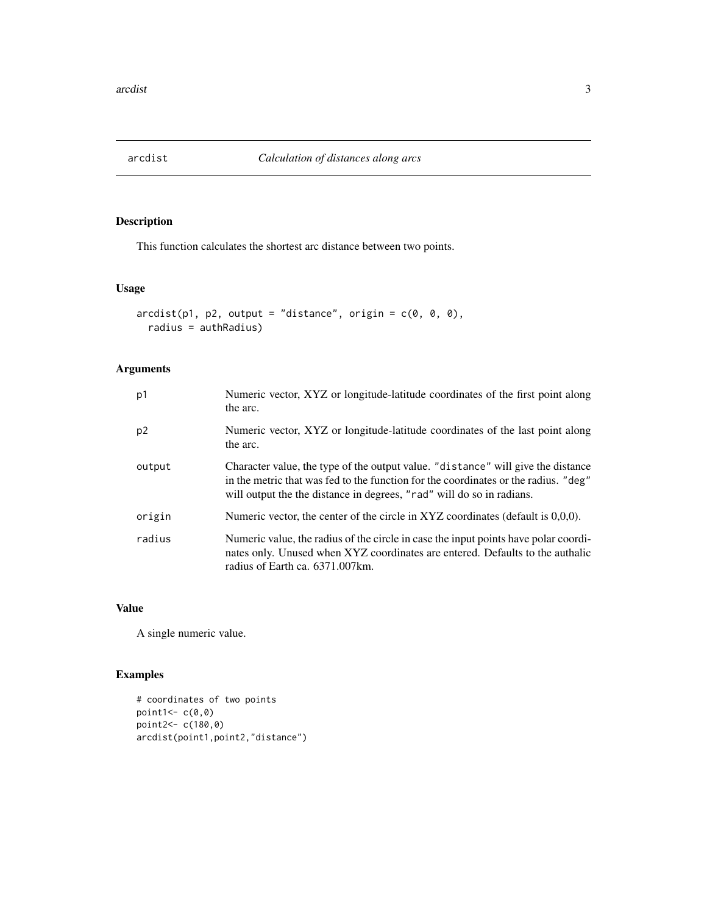<span id="page-2-0"></span>

This function calculates the shortest arc distance between two points.

#### Usage

```
\arcdist(p1, p2, output = "distance", origin = c(0, 0, 0),radius = authRadius)
```
## Arguments

| p1             | Numeric vector, XYZ or longitude-latitude coordinates of the first point along<br>the arc.                                                                                                                                                       |
|----------------|--------------------------------------------------------------------------------------------------------------------------------------------------------------------------------------------------------------------------------------------------|
| p <sub>2</sub> | Numeric vector, XYZ or longitude-latitude coordinates of the last point along<br>the arc.                                                                                                                                                        |
| output         | Character value, the type of the output value. "distance" will give the distance<br>in the metric that was fed to the function for the coordinates or the radius. "deg"<br>will output the the distance in degrees, "rad" will do so in radians. |
| origin         | Numeric vector, the center of the circle in XYZ coordinates (default is 0,0,0).                                                                                                                                                                  |
| radius         | Numeric value, the radius of the circle in case the input points have polar coordi-<br>nates only. Unused when XYZ coordinates are entered. Defaults to the authalic<br>radius of Earth ca. 6371.007 km.                                         |

#### Value

A single numeric value.

```
# coordinates of two points
point1<- c(0,0)
point2 < -c(180, 0)arcdist(point1,point2,"distance")
```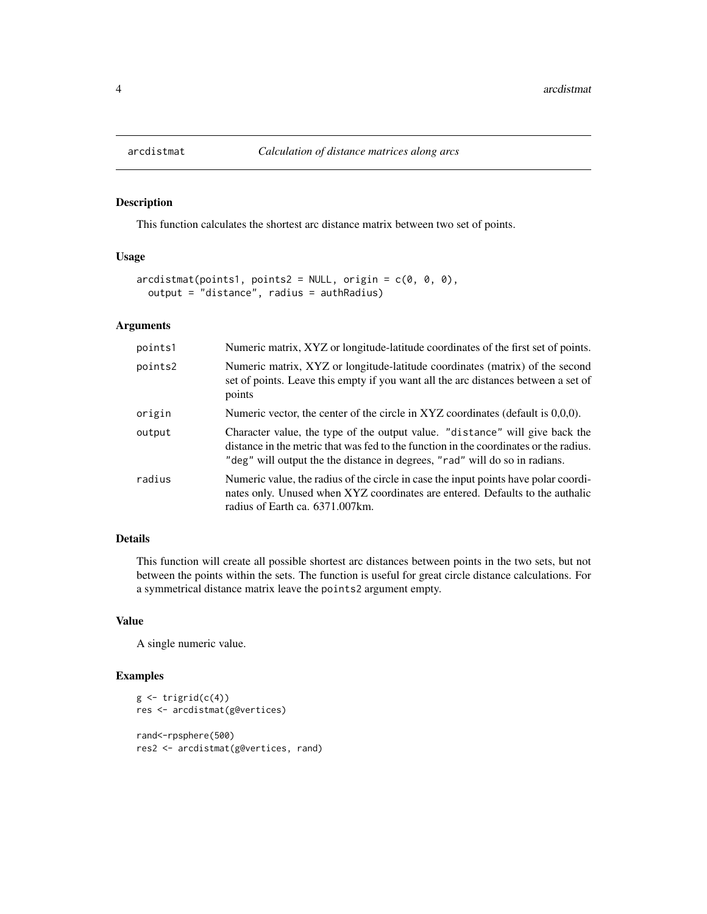This function calculates the shortest arc distance matrix between two set of points.

#### Usage

```
arcdistmat(points1, points2 = NULL, origin = c(0, 0, 0),output = "distance", radius = authRadius)
```
#### Arguments

| points1 | Numeric matrix, XYZ or longitude-latitude coordinates of the first set of points.                                                                                                                                                                    |
|---------|------------------------------------------------------------------------------------------------------------------------------------------------------------------------------------------------------------------------------------------------------|
| points2 | Numeric matrix, XYZ or longitude-latitude coordinates (matrix) of the second<br>set of points. Leave this empty if you want all the arc distances between a set of<br>points                                                                         |
| origin  | Numeric vector, the center of the circle in XYZ coordinates (default is 0,0,0).                                                                                                                                                                      |
| output  | Character value, the type of the output value. "distance" will give back the<br>distance in the metric that was fed to the function in the coordinates or the radius.<br>"deg" will output the the distance in degrees, "rad" will do so in radians. |
| radius  | Numeric value, the radius of the circle in case the input points have polar coordi-<br>nates only. Unused when XYZ coordinates are entered. Defaults to the authalic<br>radius of Earth ca. 6371.007km.                                              |

## Details

This function will create all possible shortest arc distances between points in the two sets, but not between the points within the sets. The function is useful for great circle distance calculations. For a symmetrical distance matrix leave the points2 argument empty.

#### Value

A single numeric value.

```
g \leftarrow \text{trigrid}(c(4))res <- arcdistmat(g@vertices)
rand<-rpsphere(500)
res2 <- arcdistmat(g@vertices, rand)
```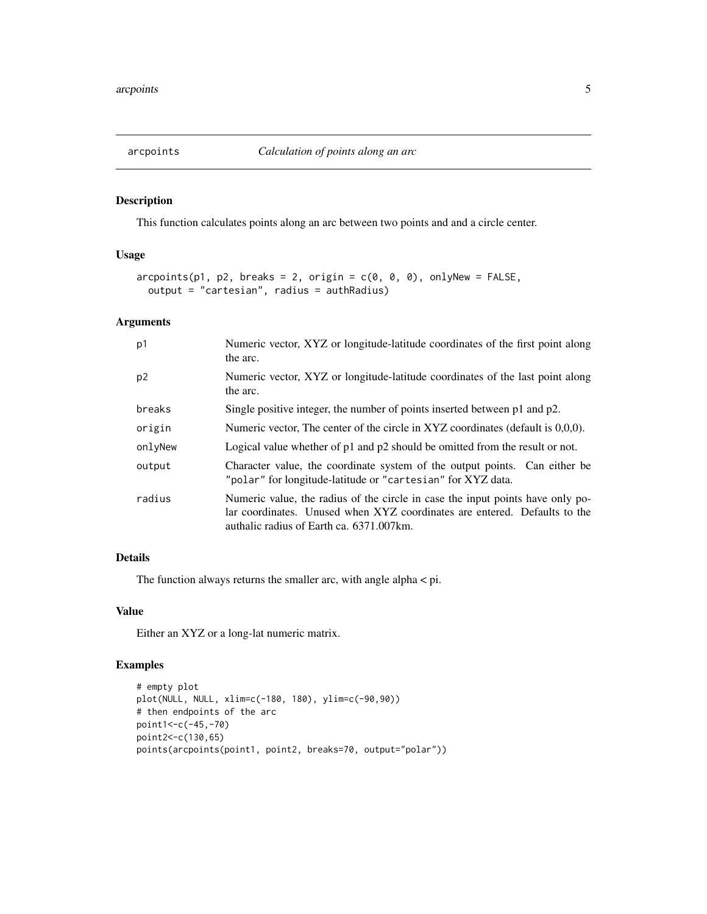<span id="page-4-0"></span>

This function calculates points along an arc between two points and and a circle center.

## Usage

```
arcpoints(p1, p2, breaks = 2, origin = c(0, 0, 0), only New = FALSE,output = "cartesian", radius = authRadius)
```
## Arguments

| p1      | Numeric vector, XYZ or longitude-latitude coordinates of the first point along<br>the arc.                                                                                                              |
|---------|---------------------------------------------------------------------------------------------------------------------------------------------------------------------------------------------------------|
| p2      | Numeric vector, XYZ or longitude-latitude coordinates of the last point along<br>the arc.                                                                                                               |
| breaks  | Single positive integer, the number of points inserted between p1 and p2.                                                                                                                               |
| origin  | Numeric vector, The center of the circle in XYZ coordinates (default is 0,0,0).                                                                                                                         |
| onlyNew | Logical value whether of $p1$ and $p2$ should be omitted from the result or not.                                                                                                                        |
| output  | Character value, the coordinate system of the output points. Can either be<br>"polar" for longitude-latitude or "cartesian" for XYZ data.                                                               |
| radius  | Numeric value, the radius of the circle in case the input points have only po-<br>lar coordinates. Unused when XYZ coordinates are entered. Defaults to the<br>authalic radius of Earth ca. 6371.007km. |

## Details

The function always returns the smaller arc, with angle alpha < pi.

#### Value

Either an XYZ or a long-lat numeric matrix.

```
# empty plot
plot(NULL, NULL, xlim=c(-180, 180), ylim=c(-90,90))
# then endpoints of the arc
point1<-c(-45,-70)
point2<-c(130,65)
points(arcpoints(point1, point2, breaks=70, output="polar"))
```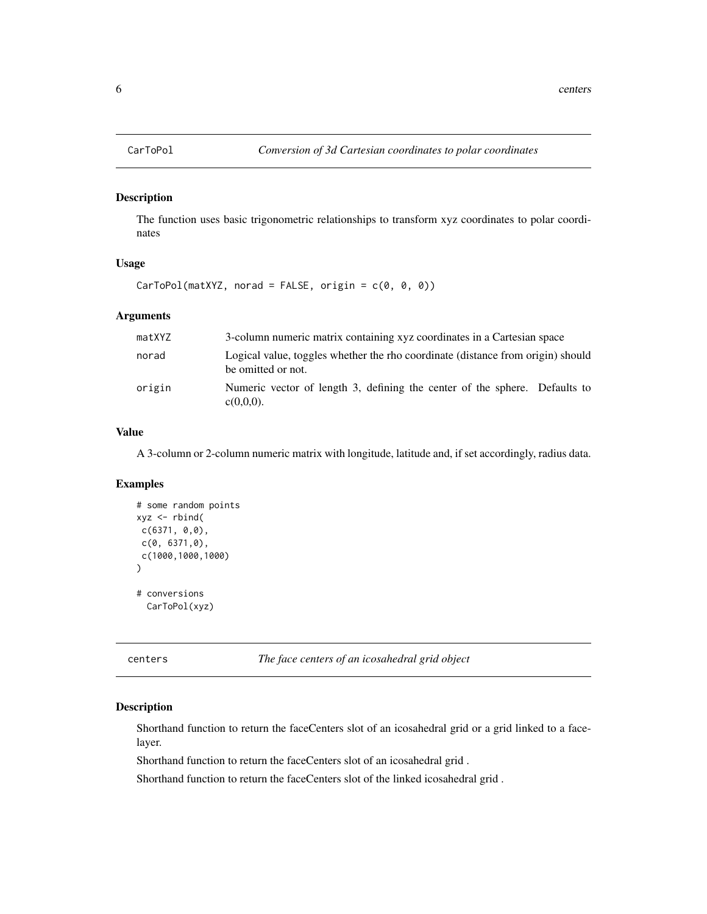<span id="page-5-0"></span>

The function uses basic trigonometric relationships to transform xyz coordinates to polar coordinates

#### Usage

 $CarToPol(matXYZ, norad = FALSE, origin = c(0, 0, 0))$ 

#### Arguments

| matXYZ | 3-column numeric matrix containing xyz coordinates in a Cartesian space                               |
|--------|-------------------------------------------------------------------------------------------------------|
| norad  | Logical value, toggles whether the rho coordinate (distance from origin) should<br>be omitted or not. |
| origin | Numeric vector of length 3, defining the center of the sphere. Defaults to<br>$c(0,0,0)$ .            |

#### Value

A 3-column or 2-column numeric matrix with longitude, latitude and, if set accordingly, radius data.

#### Examples

```
# some random points
xyz \le - \text{rbind}(c(6371, 0,0),
c(0, 6371,0),
c(1000,1000,1000)
)
# conversions
  CarToPol(xyz)
```
centers *The face centers of an icosahedral grid object*

#### Description

Shorthand function to return the faceCenters slot of an icosahedral grid or a grid linked to a facelayer.

Shorthand function to return the faceCenters slot of an icosahedral grid .

Shorthand function to return the faceCenters slot of the linked icosahedral grid .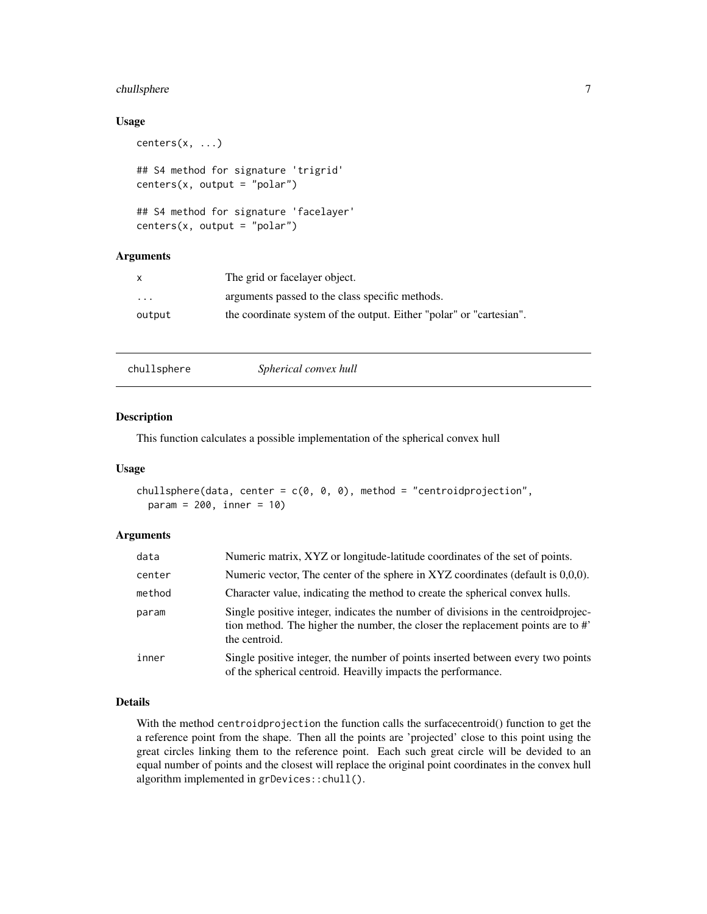## <span id="page-6-0"></span>chullsphere 7

#### Usage

```
centers(x, \ldots)## S4 method for signature 'trigrid'
centers(x, output = "polar")
## S4 method for signature 'facelayer'
centers(x, output = "polar")
```
#### Arguments

|                         | The grid or facelayer object.                                       |
|-------------------------|---------------------------------------------------------------------|
| $\cdot$ $\cdot$ $\cdot$ | arguments passed to the class specific methods.                     |
| output                  | the coordinate system of the output. Either "polar" or "cartesian". |

|--|

#### Description

This function calculates a possible implementation of the spherical convex hull

### Usage

```
chullsphere(data, center = c(\emptyset, \emptyset, \emptyset), method = "centroidprojection",
  param = 200, inner = 10)
```
#### Arguments

| data   | Numeric matrix, XYZ or longitude-latitude coordinates of the set of points.                                                                                                           |
|--------|---------------------------------------------------------------------------------------------------------------------------------------------------------------------------------------|
| center | Numeric vector, The center of the sphere in XYZ coordinates (default is 0,0,0).                                                                                                       |
| method | Character value, indicating the method to create the spherical convex hulls.                                                                                                          |
| param  | Single positive integer, indicates the number of divisions in the centroid projec-<br>tion method. The higher the number, the closer the replacement points are to #<br>the centroid. |
| inner  | Single positive integer, the number of points inserted between every two points<br>of the spherical centroid. Heavilly impacts the performance.                                       |

## Details

With the method centroidprojection the function calls the surfacecentroid() function to get the a reference point from the shape. Then all the points are 'projected' close to this point using the great circles linking them to the reference point. Each such great circle will be devided to an equal number of points and the closest will replace the original point coordinates in the convex hull algorithm implemented in grDevices::chull().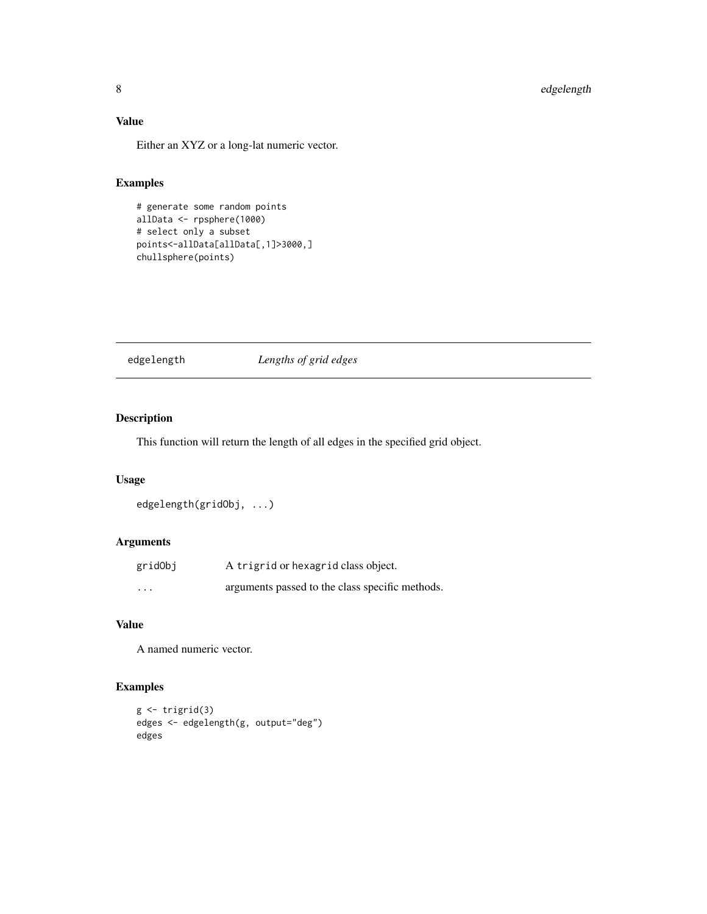# <span id="page-7-0"></span>Value

Either an XYZ or a long-lat numeric vector.

## Examples

```
# generate some random points
allData <- rpsphere(1000)
# select only a subset
points<-allData[allData[,1]>3000,]
chullsphere(points)
```
edgelength *Lengths of grid edges*

## Description

This function will return the length of all edges in the specified grid object.

#### Usage

```
edgelength(gridObj, ...)
```
## Arguments

| gridObj  | A trigrid or hexagrid class object.             |
|----------|-------------------------------------------------|
| $\cdots$ | arguments passed to the class specific methods. |

## Value

A named numeric vector.

```
g <- trigrid(3)
edges <- edgelength(g, output="deg")
edges
```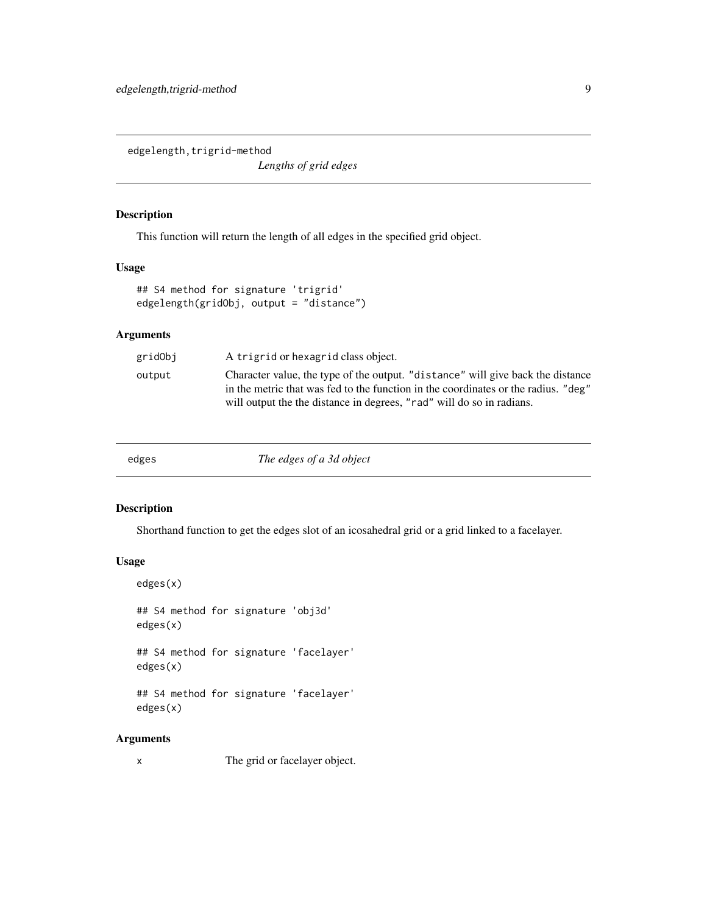<span id="page-8-0"></span>edgelength, trigrid-method

*Lengths of grid edges*

## Description

This function will return the length of all edges in the specified grid object.

#### Usage

```
## S4 method for signature 'trigrid'
edgelength(gridObj, output = "distance")
```
#### Arguments

| gridObj | A trigrid or hexagrid class object.                                                                                                                                                                                                            |
|---------|------------------------------------------------------------------------------------------------------------------------------------------------------------------------------------------------------------------------------------------------|
| output  | Character value, the type of the output. "distance" will give back the distance<br>in the metric that was fed to the function in the coordinates or the radius. "deg"<br>will output the the distance in degrees, "rad" will do so in radians. |
|         |                                                                                                                                                                                                                                                |

| edges | The edges of a 3d object |
|-------|--------------------------|
|-------|--------------------------|

#### Description

Shorthand function to get the edges slot of an icosahedral grid or a grid linked to a facelayer.

## Usage

edges(x) ## S4 method for signature 'obj3d' edges(x) ## S4 method for signature 'facelayer' edges(x) ## S4 method for signature 'facelayer' edges(x)

#### Arguments

x The grid or facelayer object.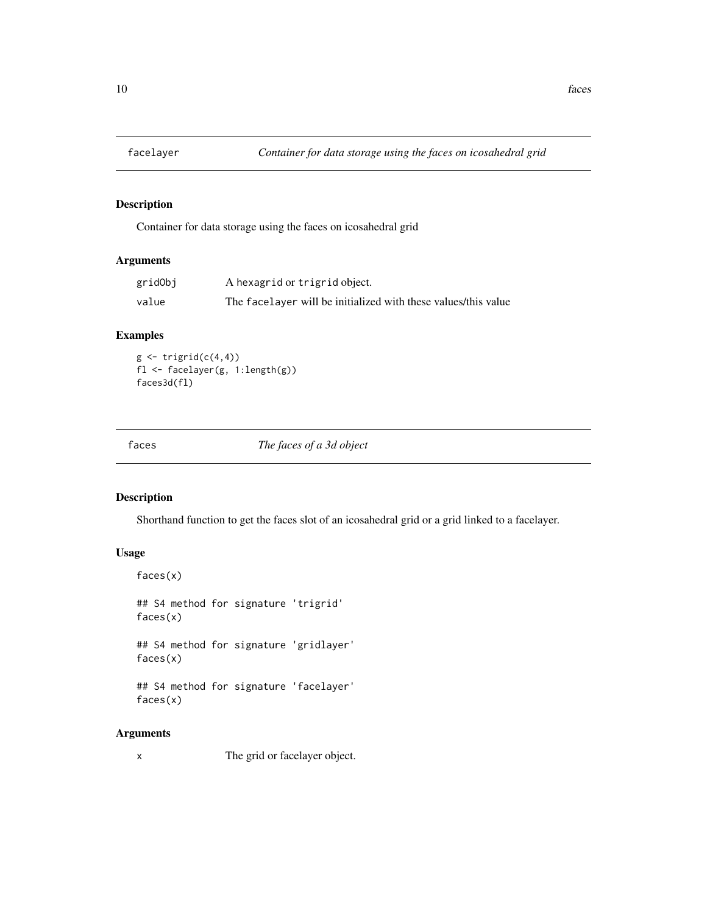<span id="page-9-0"></span>

Container for data storage using the faces on icosahedral grid

## Arguments

| gridObj | A hexagrid or trigrid object.                                  |
|---------|----------------------------------------------------------------|
| value   | The facelayer will be initialized with these values/this value |

## Examples

 $g \leftarrow \text{triprid}(c(4,4))$ fl <- facelayer(g, 1:length(g)) faces3d(fl)

faces *The faces of a 3d object*

#### Description

faces(x)

Shorthand function to get the faces slot of an icosahedral grid or a grid linked to a facelayer.

#### Usage

## S4 method for signature 'trigrid' faces(x)

## S4 method for signature 'gridlayer' faces(x)

## S4 method for signature 'facelayer' faces(x)

#### Arguments

x The grid or facelayer object.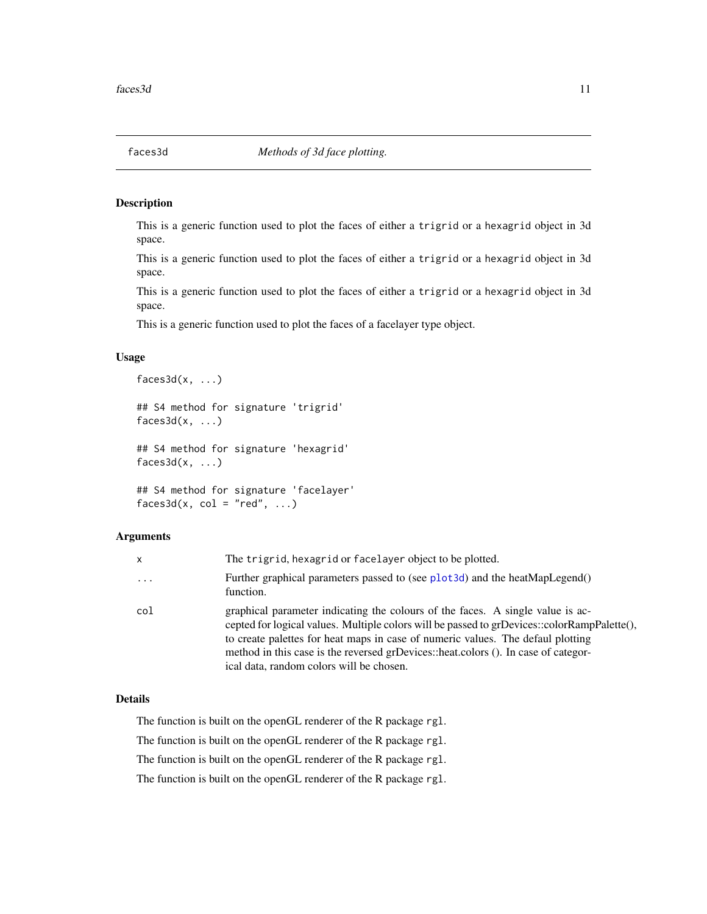<span id="page-10-0"></span>This is a generic function used to plot the faces of either a trigrid or a hexagrid object in 3d space.

This is a generic function used to plot the faces of either a trigrid or a hexagrid object in 3d space.

This is a generic function used to plot the faces of either a trigrid or a hexagrid object in 3d space.

This is a generic function used to plot the faces of a facelayer type object.

#### Usage

```
faces3d(x, \ldots)## S4 method for signature 'trigrid'
faces3d(x, ...)## S4 method for signature 'hexagrid'
faces3d(x, \ldots)## S4 method for signature 'facelayer'
faces3d(x, col = "red", ...)
```
#### Arguments

| x        | The trigrid, hexagrid or facelayer object to be plotted.                                                                                                                                                                                                                                                                                                                                           |
|----------|----------------------------------------------------------------------------------------------------------------------------------------------------------------------------------------------------------------------------------------------------------------------------------------------------------------------------------------------------------------------------------------------------|
| $\ddots$ | Further graphical parameters passed to (see plot3d) and the heatMapLegend()<br>function.                                                                                                                                                                                                                                                                                                           |
| col      | graphical parameter indicating the colours of the faces. A single value is ac-<br>cepted for logical values. Multiple colors will be passed to grDevices::colorRampPalette(),<br>to create palettes for heat maps in case of numeric values. The defaul plotting<br>method in this case is the reversed grDevices::heat.colors (). In case of categor-<br>ical data, random colors will be chosen. |

## Details

The function is built on the openGL renderer of the R package rgl.

The function is built on the openGL renderer of the R package rgl.

The function is built on the openGL renderer of the R package rgl.

The function is built on the openGL renderer of the R package rgl.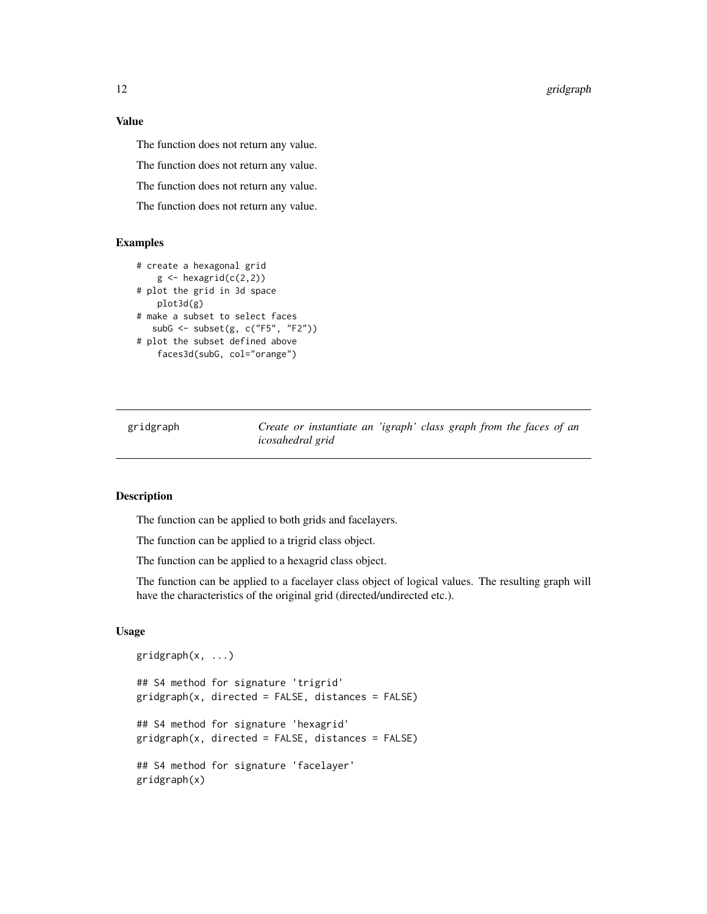<span id="page-11-0"></span>12 gridgraph

Value

The function does not return any value.

The function does not return any value.

The function does not return any value.

The function does not return any value.

#### Examples

```
# create a hexagonal grid
   g \leftarrow hexagrid(c(2,2))
# plot the grid in 3d space
   plot3d(g)
# make a subset to select faces
   subG <- subset(g, c("F5", "F2"))
# plot the subset defined above
    faces3d(subG, col="orange")
```
gridgraph *Create or instantiate an 'igraph' class graph from the faces of an icosahedral grid*

#### Description

The function can be applied to both grids and facelayers.

The function can be applied to a trigrid class object.

The function can be applied to a hexagrid class object.

The function can be applied to a facelayer class object of logical values. The resulting graph will have the characteristics of the original grid (directed/undirected etc.).

#### Usage

```
gridgraph(x, ...)
## S4 method for signature 'trigrid'
gridgraph(x, directed = FALSE, distances = FALSE)
## S4 method for signature 'hexagrid'
gridgraph(x, directed = FALSE, distances = FALSE)
## S4 method for signature 'facelayer'
gridgraph(x)
```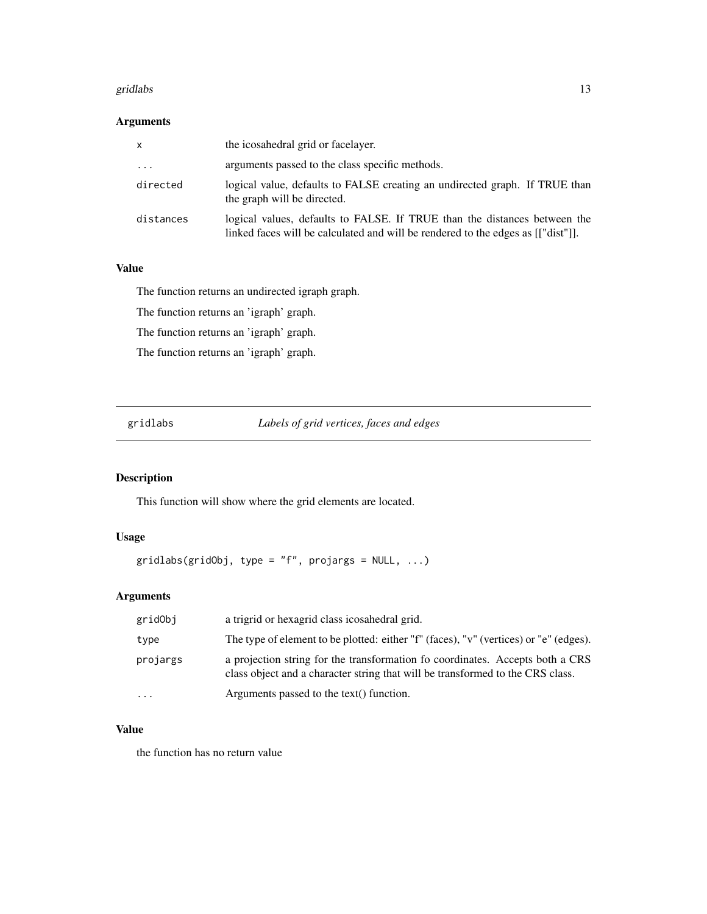#### <span id="page-12-0"></span>gridlabs and the set of the set of the set of the set of the set of the set of the set of the set of the set of the set of the set of the set of the set of the set of the set of the set of the set of the set of the set of

## Arguments

| x         | the icosahedral grid or facelayer.                                                                                                                           |
|-----------|--------------------------------------------------------------------------------------------------------------------------------------------------------------|
| $\cdots$  | arguments passed to the class specific methods.                                                                                                              |
| directed  | logical value, defaults to FALSE creating an undirected graph. If TRUE than<br>the graph will be directed.                                                   |
| distances | logical values, defaults to FALSE. If TRUE than the distances between the<br>linked faces will be calculated and will be rendered to the edges as [["dist"]. |

# Value

The function returns an undirected igraph graph.

The function returns an 'igraph' graph.

The function returns an 'igraph' graph.

The function returns an 'igraph' graph.

gridlabs *Labels of grid vertices, faces and edges*

## Description

This function will show where the grid elements are located.

## Usage

```
gridlabs(gridObj, type = "f", projargs = NULL, ...)
```
## Arguments

| gridObj                 | a trigrid or hexagrid class icosahedral grid.                                                                                                                   |
|-------------------------|-----------------------------------------------------------------------------------------------------------------------------------------------------------------|
| type                    | The type of element to be plotted: either "f" (faces), "v" (vertices) or "e" (edges).                                                                           |
| projargs                | a projection string for the transformation fo coordinates. Accepts both a CRS<br>class object and a character string that will be transformed to the CRS class. |
| $\cdot$ $\cdot$ $\cdot$ | Arguments passed to the text() function.                                                                                                                        |

## Value

the function has no return value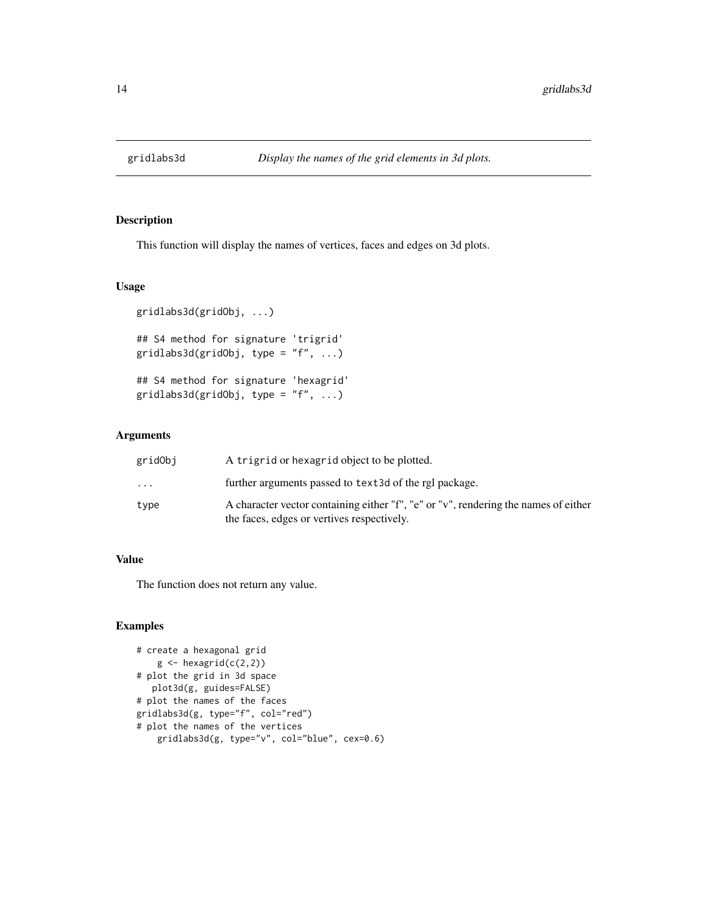<span id="page-13-0"></span>

This function will display the names of vertices, faces and edges on 3d plots.

## Usage

```
gridlabs3d(gridObj, ...)
## S4 method for signature 'trigrid'
gridlabs3d(gridObj, type = "f", ...)## S4 method for signature 'hexagrid'
gridlabs3d(gridObj, type = "f", ...)
```
#### Arguments

| gridObj   | A trigrid or hexagrid object to be plotted.                                                                                       |
|-----------|-----------------------------------------------------------------------------------------------------------------------------------|
| $\ddotsc$ | further arguments passed to text3d of the rgl package.                                                                            |
| type      | A character vector containing either "f", "e" or "v", rendering the names of either<br>the faces, edges or vertives respectively. |

## Value

The function does not return any value.

```
# create a hexagonal grid
    g \leftarrow hexagrid(c(2,2))
# plot the grid in 3d space
  plot3d(g, guides=FALSE)
# plot the names of the faces
gridlabs3d(g, type="f", col="red")
# plot the names of the vertices
    gridlabs3d(g, type="v", col="blue", cex=0.6)
```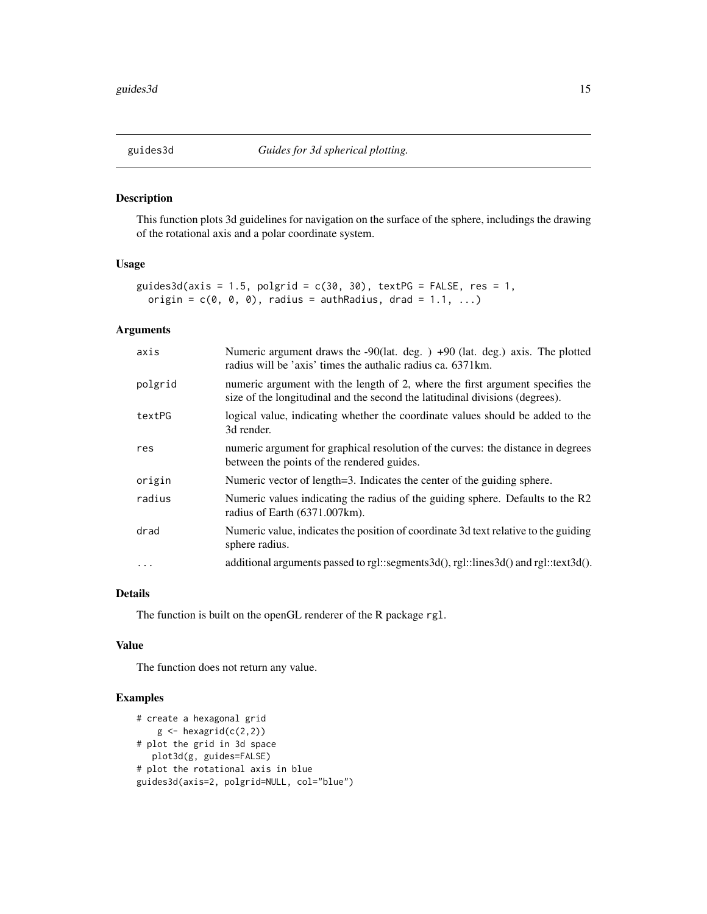<span id="page-14-0"></span>

This function plots 3d guidelines for navigation on the surface of the sphere, includings the drawing of the rotational axis and a polar coordinate system.

#### Usage

```
guides3d(axis = 1.5, polgrid = c(30, 30), textPG = FALSE, res = 1,
  origin = c(\emptyset, \emptyset, \emptyset), radius = authRadius, drad = 1.1, ...)
```
## Arguments

| axis    | Numeric argument draws the $-90$ (lat. deg. ) $+90$ (lat. deg.) axis. The plotted<br>radius will be 'axis' times the authalic radius ca. 6371km.              |
|---------|---------------------------------------------------------------------------------------------------------------------------------------------------------------|
| polgrid | numeric argument with the length of 2, where the first argument specifies the<br>size of the longitudinal and the second the latitudinal divisions (degrees). |
| textPG  | logical value, indicating whether the coordinate values should be added to the<br>3d render.                                                                  |
| res     | numeric argument for graphical resolution of the curves: the distance in degrees<br>between the points of the rendered guides.                                |
| origin  | Numeric vector of length=3. Indicates the center of the guiding sphere.                                                                                       |
| radius  | Numeric values indicating the radius of the guiding sphere. Defaults to the R2<br>radius of Earth (6371.007km).                                               |
| drad    | Numeric value, indicates the position of coordinate 3d text relative to the guiding<br>sphere radius.                                                         |
| .       | additional arguments passed to rgl::segments3d $($ ), rgl::lines3d $($ ) and rgl::text3d $($ ).                                                               |
|         |                                                                                                                                                               |

#### Details

The function is built on the openGL renderer of the R package rgl.

#### Value

The function does not return any value.

```
# create a hexagonal grid
    g \leftarrow hexagrid(c(2,2))
# plot the grid in 3d space
  plot3d(g, guides=FALSE)
# plot the rotational axis in blue
guides3d(axis=2, polgrid=NULL, col="blue")
```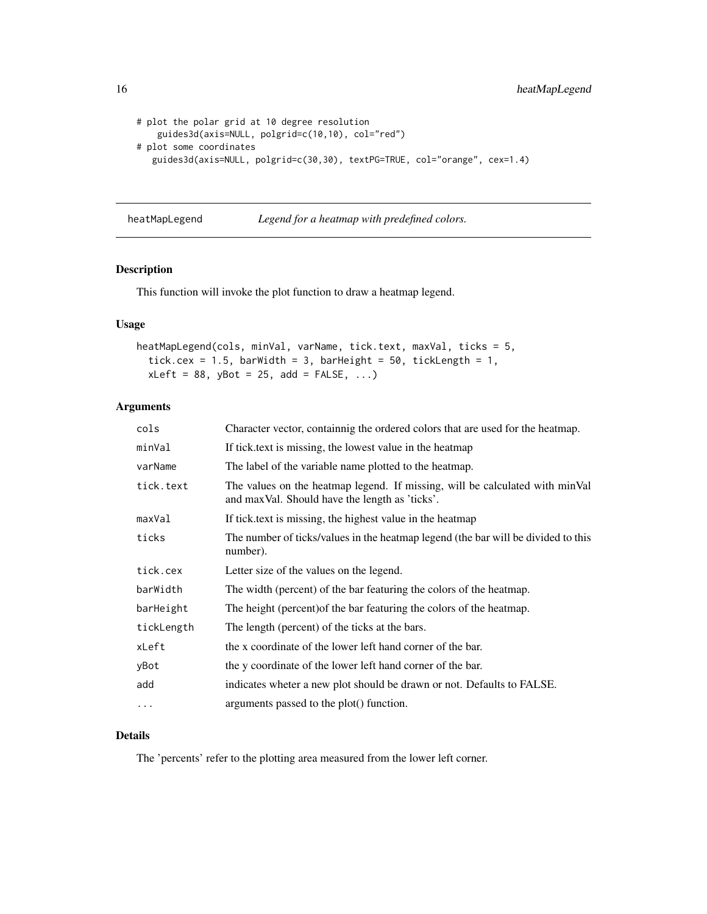```
# plot the polar grid at 10 degree resolution
   guides3d(axis=NULL, polgrid=c(10,10), col="red")
# plot some coordinates
  guides3d(axis=NULL, polgrid=c(30,30), textPG=TRUE, col="orange", cex=1.4)
```
heatMapLegend *Legend for a heatmap with predefined colors.*

## Description

This function will invoke the plot function to draw a heatmap legend.

## Usage

```
heatMapLegend(cols, minVal, varName, tick.text, maxVal, ticks = 5,
  tick.cex = 1.5, barWidth = 3, barHeight = 50, tickLength = 1,
  xLeft = 88, yBot = 25, add = FALSE, ...)
```
## Arguments

| cols       | Character vector, containnig the ordered colors that are used for the heatmap.                                                 |
|------------|--------------------------------------------------------------------------------------------------------------------------------|
| minVal     | If tick text is missing, the lowest value in the heatmap                                                                       |
| varName    | The label of the variable name plotted to the heatmap.                                                                         |
| tick.text  | The values on the heatmap legend. If missing, will be calculated with minVal<br>and maxVal. Should have the length as 'ticks'. |
| maxVal     | If tick text is missing, the highest value in the heatmap                                                                      |
| ticks      | The number of ticks/values in the heatmap legend (the bar will be divided to this<br>number).                                  |
| tick.cex   | Letter size of the values on the legend.                                                                                       |
| barWidth   | The width (percent) of the bar featuring the colors of the heatmap.                                                            |
| barHeight  | The height (percent) of the bar featuring the colors of the heatmap.                                                           |
| tickLength | The length (percent) of the ticks at the bars.                                                                                 |
| xLeft      | the x coordinate of the lower left hand corner of the bar.                                                                     |
| yBot       | the y coordinate of the lower left hand corner of the bar.                                                                     |
| add        | indicates wheter a new plot should be drawn or not. Defaults to FALSE.                                                         |
| $\cdots$   | arguments passed to the plot() function.                                                                                       |
|            |                                                                                                                                |

## Details

The 'percents' refer to the plotting area measured from the lower left corner.

<span id="page-15-0"></span>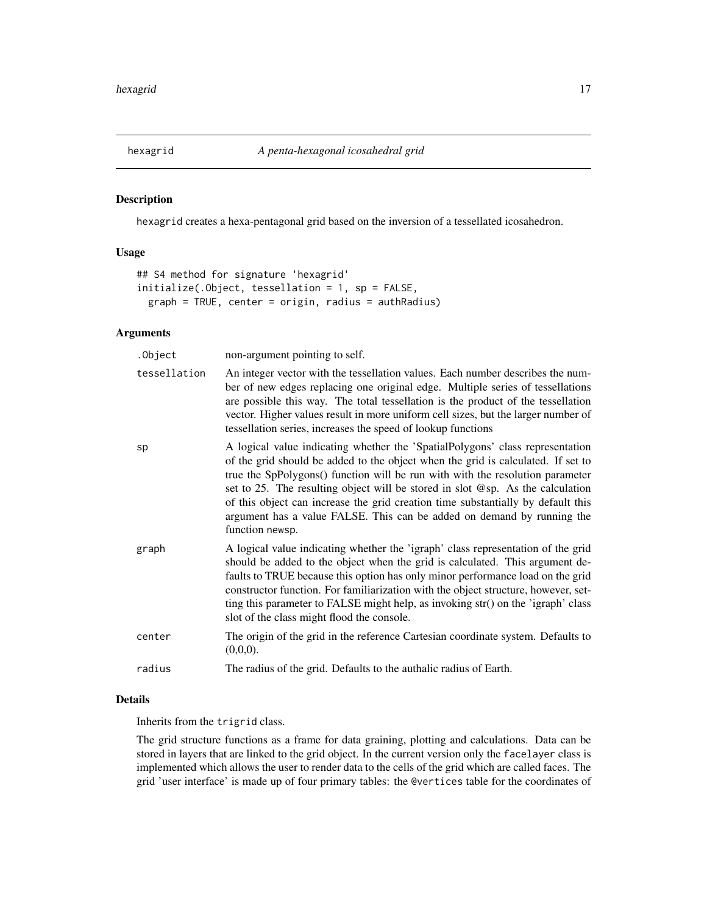<span id="page-16-0"></span>

hexagrid creates a hexa-pentagonal grid based on the inversion of a tessellated icosahedron.

## Usage

```
## S4 method for signature 'hexagrid'
initialize(.Object, tessellation = 1, sp = FALSE,
 graph = TRUE, center = origin, radius = authRadius)
```
## Arguments

| .Object      | non-argument pointing to self.                                                                                                                                                                                                                                                                                                                                                                                                                                                                                        |
|--------------|-----------------------------------------------------------------------------------------------------------------------------------------------------------------------------------------------------------------------------------------------------------------------------------------------------------------------------------------------------------------------------------------------------------------------------------------------------------------------------------------------------------------------|
| tessellation | An integer vector with the tessellation values. Each number describes the num-<br>ber of new edges replacing one original edge. Multiple series of tessellations<br>are possible this way. The total tessellation is the product of the tessellation<br>vector. Higher values result in more uniform cell sizes, but the larger number of<br>tessellation series, increases the speed of lookup functions                                                                                                             |
| sp           | A logical value indicating whether the 'SpatialPolygons' class representation<br>of the grid should be added to the object when the grid is calculated. If set to<br>true the SpPolygons() function will be run with with the resolution parameter<br>set to 25. The resulting object will be stored in slot @sp. As the calculation<br>of this object can increase the grid creation time substantially by default this<br>argument has a value FALSE. This can be added on demand by running the<br>function newsp. |
| graph        | A logical value indicating whether the 'igraph' class representation of the grid<br>should be added to the object when the grid is calculated. This argument de-<br>faults to TRUE because this option has only minor performance load on the grid<br>constructor function. For familiarization with the object structure, however, set-<br>ting this parameter to FALSE might help, as invoking str() on the 'igraph' class<br>slot of the class might flood the console.                                            |
| center       | The origin of the grid in the reference Cartesian coordinate system. Defaults to<br>(0,0,0).                                                                                                                                                                                                                                                                                                                                                                                                                          |
| radius       | The radius of the grid. Defaults to the authalic radius of Earth.                                                                                                                                                                                                                                                                                                                                                                                                                                                     |
|              |                                                                                                                                                                                                                                                                                                                                                                                                                                                                                                                       |

#### Details

Inherits from the trigrid class.

The grid structure functions as a frame for data graining, plotting and calculations. Data can be stored in layers that are linked to the grid object. In the current version only the facelayer class is implemented which allows the user to render data to the cells of the grid which are called faces. The grid 'user interface' is made up of four primary tables: the @vertices table for the coordinates of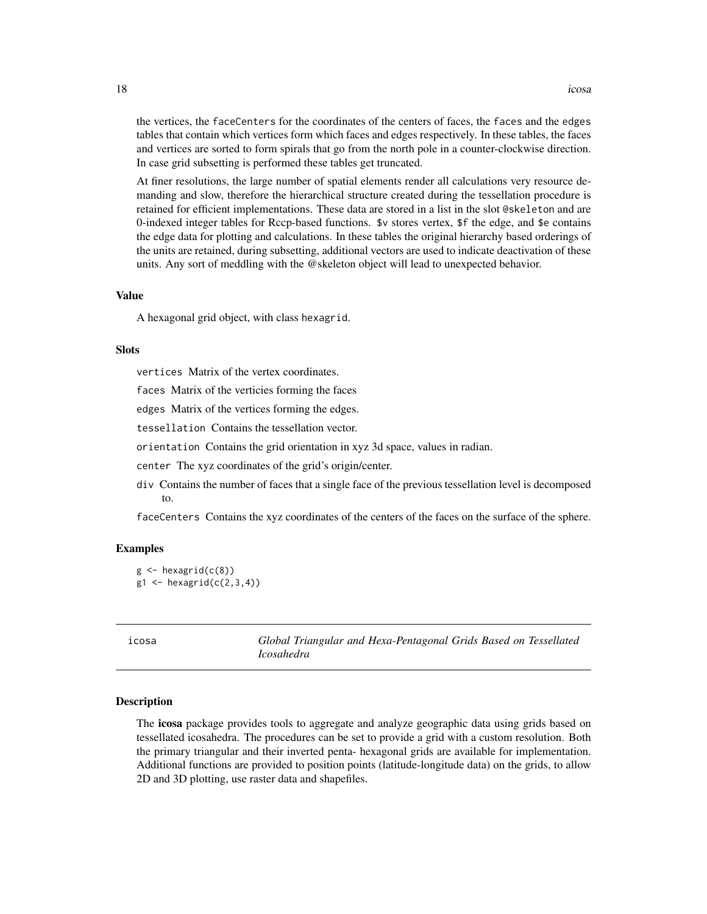the vertices, the faceCenters for the coordinates of the centers of faces, the faces and the edges tables that contain which vertices form which faces and edges respectively. In these tables, the faces and vertices are sorted to form spirals that go from the north pole in a counter-clockwise direction.

At finer resolutions, the large number of spatial elements render all calculations very resource demanding and slow, therefore the hierarchical structure created during the tessellation procedure is retained for efficient implementations. These data are stored in a list in the slot @skeleton and are 0-indexed integer tables for Rccp-based functions. \$v stores vertex, \$f the edge, and \$e contains the edge data for plotting and calculations. In these tables the original hierarchy based orderings of the units are retained, during subsetting, additional vectors are used to indicate deactivation of these units. Any sort of meddling with the @skeleton object will lead to unexpected behavior.

#### Value

A hexagonal grid object, with class hexagrid.

In case grid subsetting is performed these tables get truncated.

#### **Slots**

vertices Matrix of the vertex coordinates.

faces Matrix of the verticies forming the faces

edges Matrix of the vertices forming the edges.

tessellation Contains the tessellation vector.

orientation Contains the grid orientation in xyz 3d space, values in radian.

center The xyz coordinates of the grid's origin/center.

div Contains the number of faces that a single face of the previous tessellation level is decomposed to.

faceCenters Contains the xyz coordinates of the centers of the faces on the surface of the sphere.

#### Examples

```
g \leftarrow hexagrid(c(8))
g1 \leftarrow hexagrid(c(2,3,4))
```
icosa *Global Triangular and Hexa-Pentagonal Grids Based on Tessellated Icosahedra*

## Description

The icosa package provides tools to aggregate and analyze geographic data using grids based on tessellated icosahedra. The procedures can be set to provide a grid with a custom resolution. Both the primary triangular and their inverted penta- hexagonal grids are available for implementation. Additional functions are provided to position points (latitude-longitude data) on the grids, to allow 2D and 3D plotting, use raster data and shapefiles.

<span id="page-17-0"></span>18 icosa and the contract of the contract of the contract of the contract of the contract of the contract of the contract of the contract of the contract of the contract of the contract of the contract of the contract of t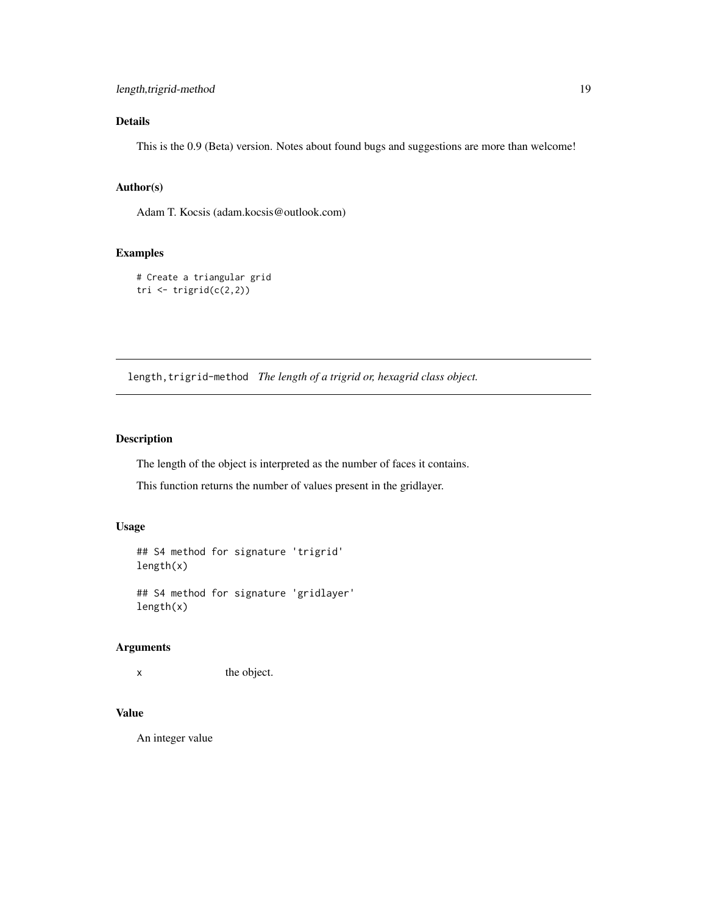# <span id="page-18-0"></span>Details

This is the 0.9 (Beta) version. Notes about found bugs and suggestions are more than welcome!

## Author(s)

Adam T. Kocsis (adam.kocsis@outlook.com)

#### Examples

```
# Create a triangular grid
tri \leftarrow trigrid(c(2,2))
```
length, trigrid-method The length of a trigrid or, hexagrid class object.

## Description

The length of the object is interpreted as the number of faces it contains.

This function returns the number of values present in the gridlayer.

#### Usage

## S4 method for signature 'trigrid' length(x)

## S4 method for signature 'gridlayer' length(x)

## Arguments

x the object.

#### Value

An integer value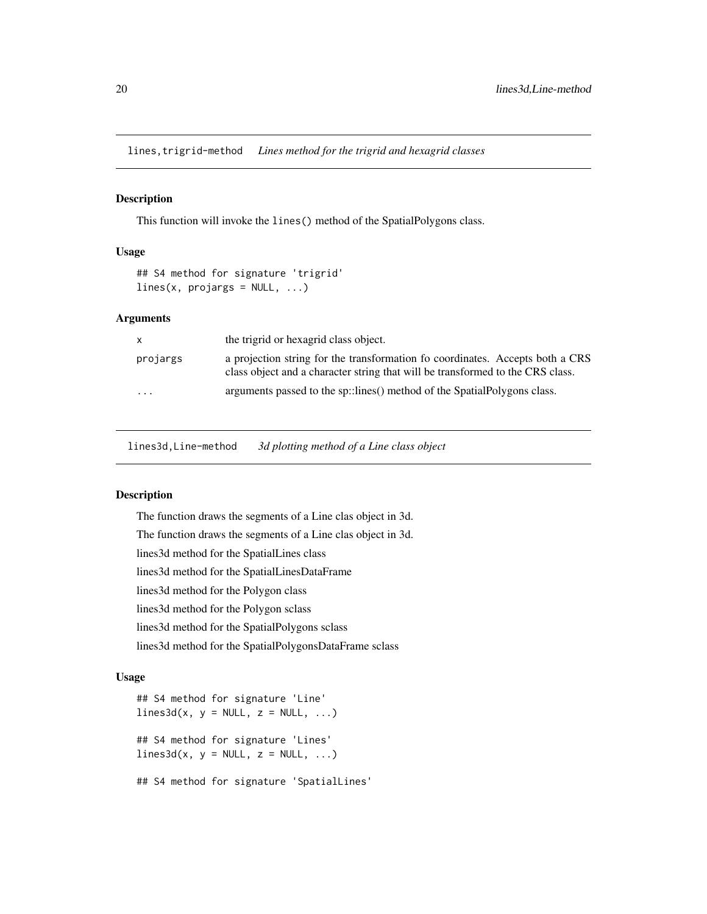<span id="page-19-0"></span>lines,trigrid-method *Lines method for the trigrid and hexagrid classes*

#### Description

This function will invoke the lines() method of the SpatialPolygons class.

#### Usage

```
## S4 method for signature 'trigrid'
lines(x, projargs = NULL, ...)
```
#### Arguments

| X        | the trigrid or hexagrid class object.                                                                                                                           |
|----------|-----------------------------------------------------------------------------------------------------------------------------------------------------------------|
| projargs | a projection string for the transformation fo coordinates. Accepts both a CRS<br>class object and a character string that will be transformed to the CRS class. |
| $\cdots$ | arguments passed to the sp::lines() method of the SpatialPolygons class.                                                                                        |

lines3d,Line-method *3d plotting method of a Line class object*

## Description

The function draws the segments of a Line clas object in 3d. The function draws the segments of a Line clas object in 3d. lines3d method for the SpatialLines class lines3d method for the SpatialLinesDataFrame lines3d method for the Polygon class lines3d method for the Polygon sclass lines3d method for the SpatialPolygons sclass lines3d method for the SpatialPolygonsDataFrame sclass

#### Usage

## S4 method for signature 'Line'  $lines3d(x, y = NULL, z = NULL, ...)$ ## S4 method for signature 'Lines'  $lines3d(x, y = NULL, z = NULL, ...)$ ## S4 method for signature 'SpatialLines'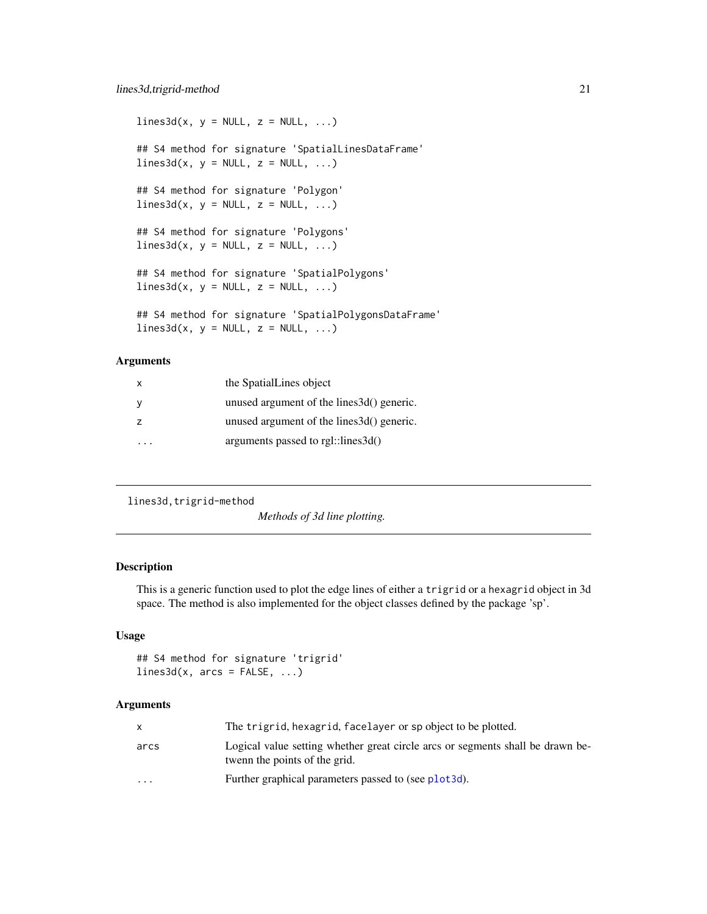```
lines3d(x, y = NULL, z = NULL, ...)## S4 method for signature 'SpatialLinesDataFrame'
lines3d(x, y = NULL, z = NULL, ...)## S4 method for signature 'Polygon'
lines3d(x, y = NULL, z = NULL, ...)## S4 method for signature 'Polygons'
lines3d(x, y = NULL, z = NULL, ...)## S4 method for signature 'SpatialPolygons'
lines3d(x, y = NULL, z = NULL, ...)## S4 method for signature 'SpatialPolygonsDataFrame'
lines3d(x, y = NULL, z = NULL, ...)
```
## Arguments

| x              | the SpatialLines object                    |
|----------------|--------------------------------------------|
|                | unused argument of the lines 3d() generic. |
| $\overline{z}$ | unused argument of the lines 3d() generic. |
|                | arguments passed to $rgl::lines3d()$       |

lines3d,trigrid-method

*Methods of 3d line plotting.*

#### Description

This is a generic function used to plot the edge lines of either a trigrid or a hexagrid object in 3d space. The method is also implemented for the object classes defined by the package 'sp'.

#### Usage

```
## S4 method for signature 'trigrid'
lines3d(x, arcs = FALSE, ...)
```
## Arguments

|                      | The trigrid, hexagrid, facelayer or sp object to be plotted.                                                    |
|----------------------|-----------------------------------------------------------------------------------------------------------------|
| arcs                 | Logical value setting whether great circle arcs or segments shall be drawn be-<br>twenn the points of the grid. |
| $\ddot{\phantom{0}}$ | Further graphical parameters passed to (see plot3d).                                                            |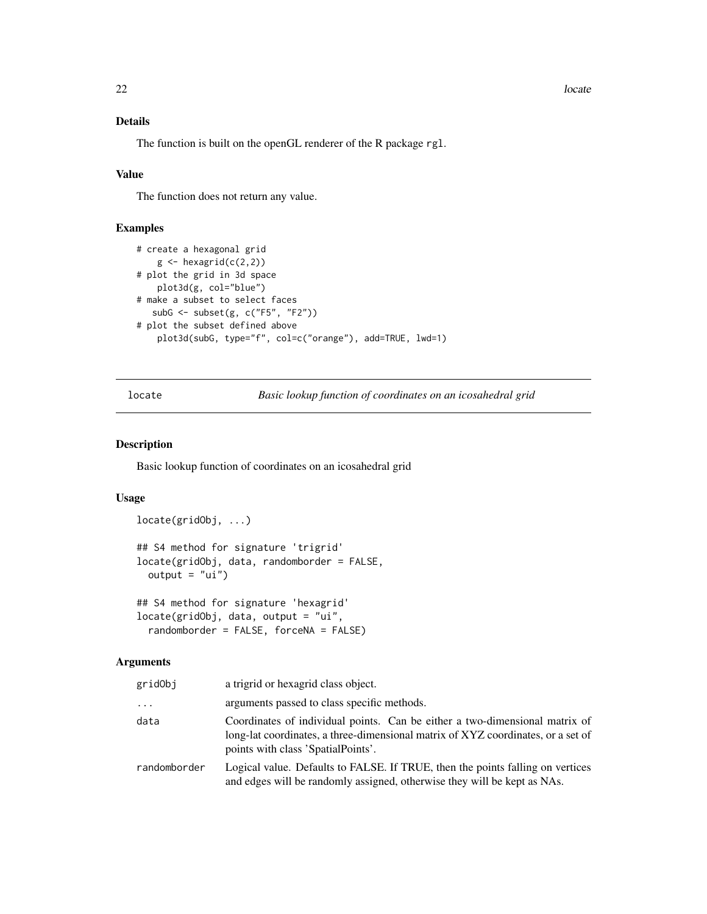#### <span id="page-21-0"></span>22 locate and the set of the set of the set of the set of the set of the set of the set of the set of the set of the set of the set of the set of the set of the set of the set of the set of the set of the set of the set of

## Details

The function is built on the openGL renderer of the R package rgl.

## Value

The function does not return any value.

## Examples

```
# create a hexagonal grid
    g \leftarrow hexagrid(c(2,2))
# plot the grid in 3d space
   plot3d(g, col="blue")
# make a subset to select faces
  subG <- subset(g, c("F5", "F2"))
# plot the subset defined above
    plot3d(subG, type="f", col=c("orange"), add=TRUE, lwd=1)
```
locate *Basic lookup function of coordinates on an icosahedral grid*

## Description

Basic lookup function of coordinates on an icosahedral grid

## Usage

```
locate(gridObj, ...)
## S4 method for signature 'trigrid'
locate(gridObj, data, randomborder = FALSE,
 output = "ui")## S4 method for signature 'hexagrid'
locate(gridObj, data, output = "ui",
```

```
randomborder = FALSE, forceNA = FALSE)
```
#### Arguments

| gridObj      | a trigrid or hexagrid class object.                                                                                                                                                                   |  |
|--------------|-------------------------------------------------------------------------------------------------------------------------------------------------------------------------------------------------------|--|
| $\cdots$     | arguments passed to class specific methods.                                                                                                                                                           |  |
| data         | Coordinates of individual points. Can be either a two-dimensional matrix of<br>long-lat coordinates, a three-dimensional matrix of XYZ coordinates, or a set of<br>points with class 'SpatialPoints'. |  |
| randomborder | Logical value. Defaults to FALSE. If TRUE, then the points falling on vertices<br>and edges will be randomly assigned, otherwise they will be kept as NAs.                                            |  |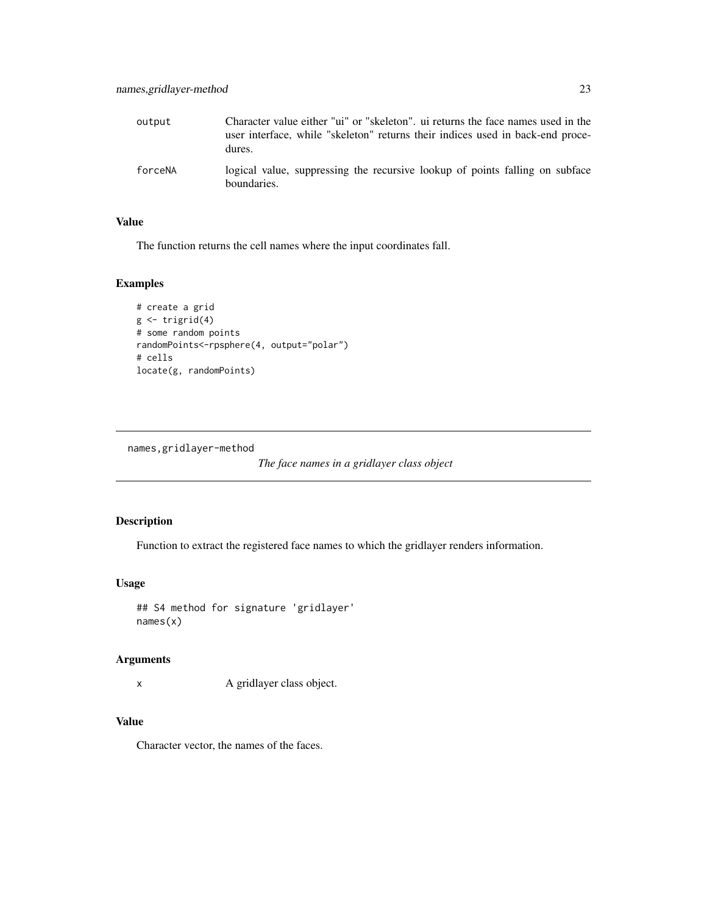<span id="page-22-0"></span>

| output  | Character value either "ui" or "skeleton", ui returns the face names used in the<br>user interface, while "skeleton" returns their indices used in back-end proce-<br>dures. |
|---------|------------------------------------------------------------------------------------------------------------------------------------------------------------------------------|
| forceNA | logical value, suppressing the recursive lookup of points falling on subface<br>boundaries.                                                                                  |

## Value

The function returns the cell names where the input coordinates fall.

## Examples

```
# create a grid
g \leftarrow \text{trigrid}(4)# some random points
randomPoints<-rpsphere(4, output="polar")
# cells
locate(g, randomPoints)
```
names,gridlayer-method

*The face names in a gridlayer class object*

#### Description

Function to extract the registered face names to which the gridlayer renders information.

## Usage

```
## S4 method for signature 'gridlayer'
names(x)
```
## Arguments

x A gridlayer class object.

#### Value

Character vector, the names of the faces.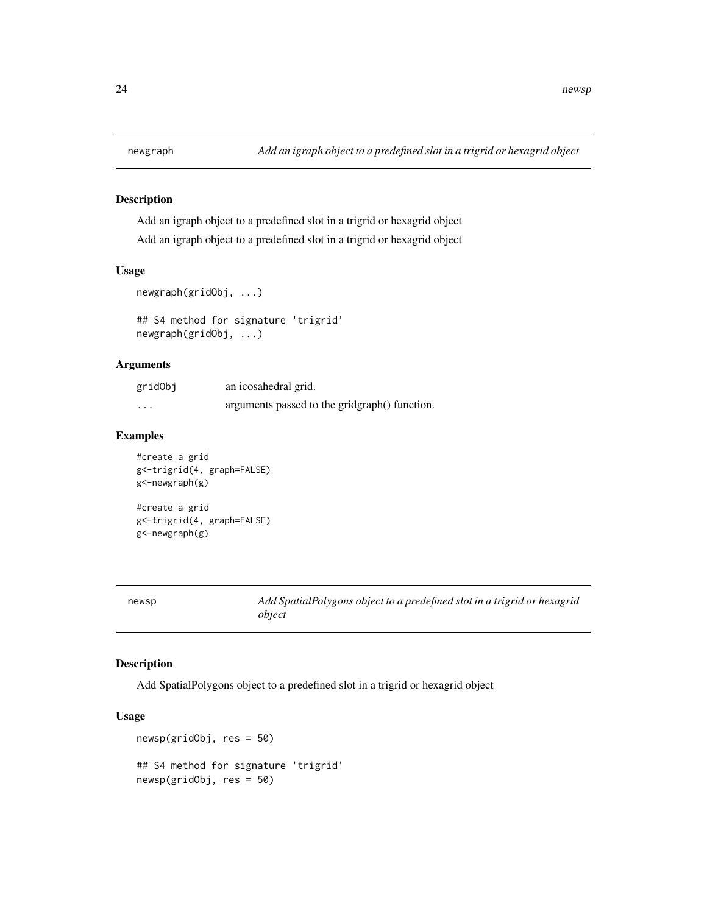<span id="page-23-0"></span>

Add an igraph object to a predefined slot in a trigrid or hexagrid object Add an igraph object to a predefined slot in a trigrid or hexagrid object

#### Usage

```
newgraph(gridObj, ...)
```
## S4 method for signature 'trigrid' newgraph(gridObj, ...)

#### Arguments

| gridObj  | an icosahedral grid.                          |
|----------|-----------------------------------------------|
| $\cdots$ | arguments passed to the gridgraph() function. |

#### Examples

```
#create a grid
g<-trigrid(4, graph=FALSE)
g<-newgraph(g)
#create a grid
```
g<-trigrid(4, graph=FALSE) g<-newgraph(g)

newsp *Add SpatialPolygons object to a predefined slot in a trigrid or hexagrid object*

## Description

Add SpatialPolygons object to a predefined slot in a trigrid or hexagrid object

## Usage

```
newsp(gridObj, res = 50)
## S4 method for signature 'trigrid'
newsp(gridObj, res = 50)
```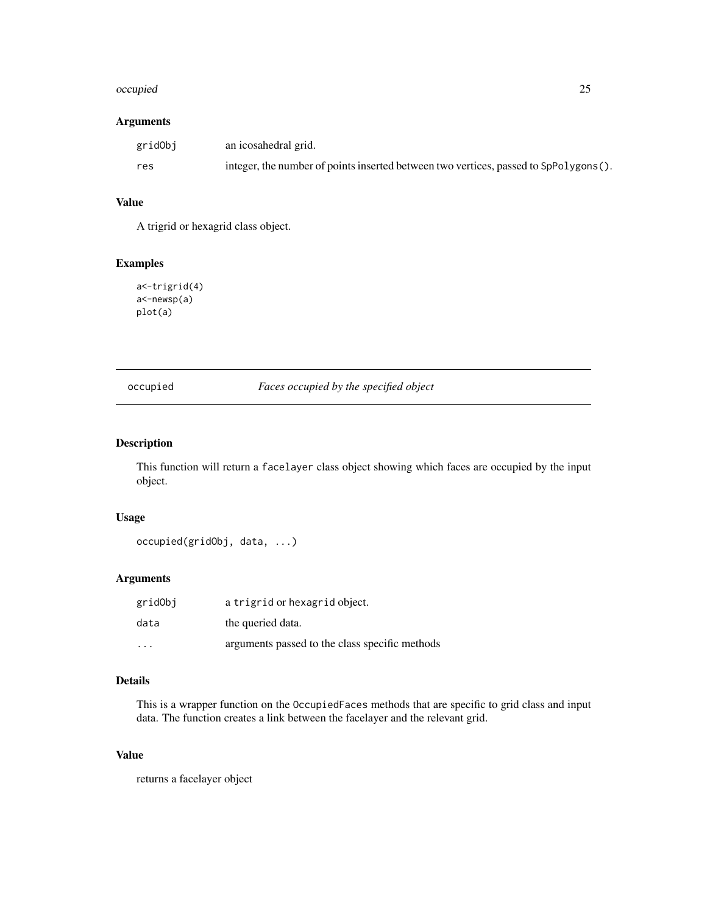#### <span id="page-24-0"></span>occupied 25

#### Arguments

| gridObj | an icosahedral grid.                                                                  |
|---------|---------------------------------------------------------------------------------------|
| res     | integer, the number of points inserted between two vertices, passed to SpPolygons (). |

# Value

A trigrid or hexagrid class object.

## Examples

a<-trigrid(4) a<-newsp(a) plot(a)

## occupied *Faces occupied by the specified object*

## Description

This function will return a facelayer class object showing which faces are occupied by the input object.

#### Usage

```
occupied(gridObj, data, ...)
```
## Arguments

| gridObj | a trigrid or hexagrid object.                  |
|---------|------------------------------------------------|
| data    | the queried data.                              |
| .       | arguments passed to the class specific methods |

## Details

This is a wrapper function on the OccupiedFaces methods that are specific to grid class and input data. The function creates a link between the facelayer and the relevant grid.

## Value

returns a facelayer object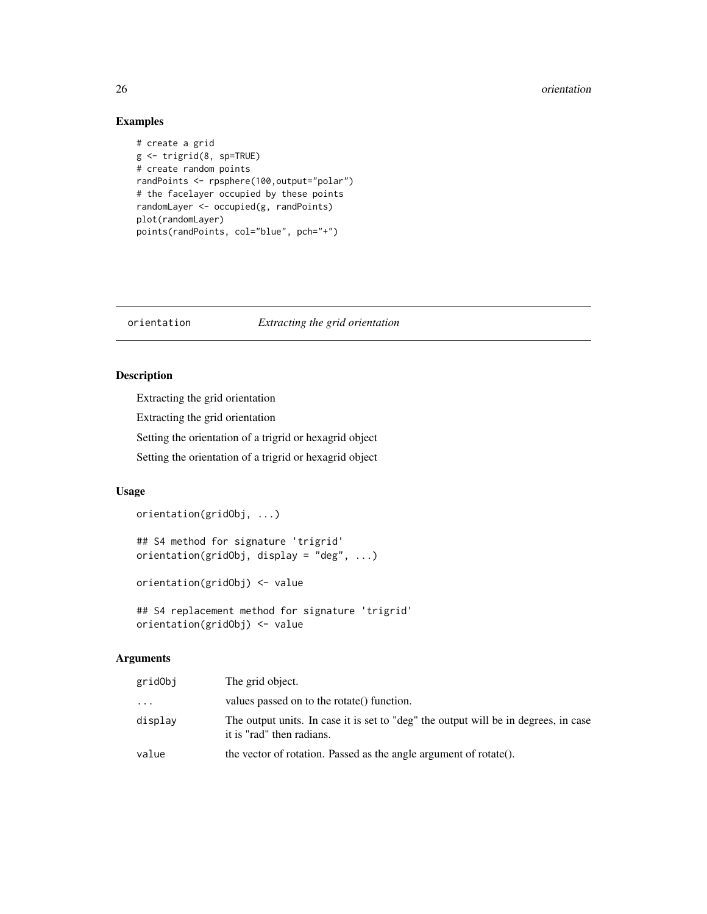#### <span id="page-25-0"></span>26 orientation and the contract of the contract of the contract of the contract of the contract of the contract of the contract of the contract of the contract of the contract of the contract of the contract of the contrac

## Examples

```
# create a grid
g <- trigrid(8, sp=TRUE)
# create random points
randPoints <- rpsphere(100,output="polar")
# the facelayer occupied by these points
randomLayer <- occupied(g, randPoints)
plot(randomLayer)
points(randPoints, col="blue", pch="+")
```
#### orientation *Extracting the grid orientation*

## Description

Extracting the grid orientation

Extracting the grid orientation

Setting the orientation of a trigrid or hexagrid object

Setting the orientation of a trigrid or hexagrid object

#### Usage

orientation(gridObj, ...)

```
## S4 method for signature 'trigrid'
orientation(gridObj, display = "deg", ...)
```
orientation(gridObj) <- value

```
## S4 replacement method for signature 'trigrid'
orientation(gridObj) <- value
```
#### Arguments

| gridObj | The grid object.                                                                                                 |
|---------|------------------------------------------------------------------------------------------------------------------|
| .       | values passed on to the rotate() function.                                                                       |
| displav | The output units. In case it is set to "deg" the output will be in degrees, in case<br>it is "rad" then radians. |
| value   | the vector of rotation. Passed as the angle argument of rotate().                                                |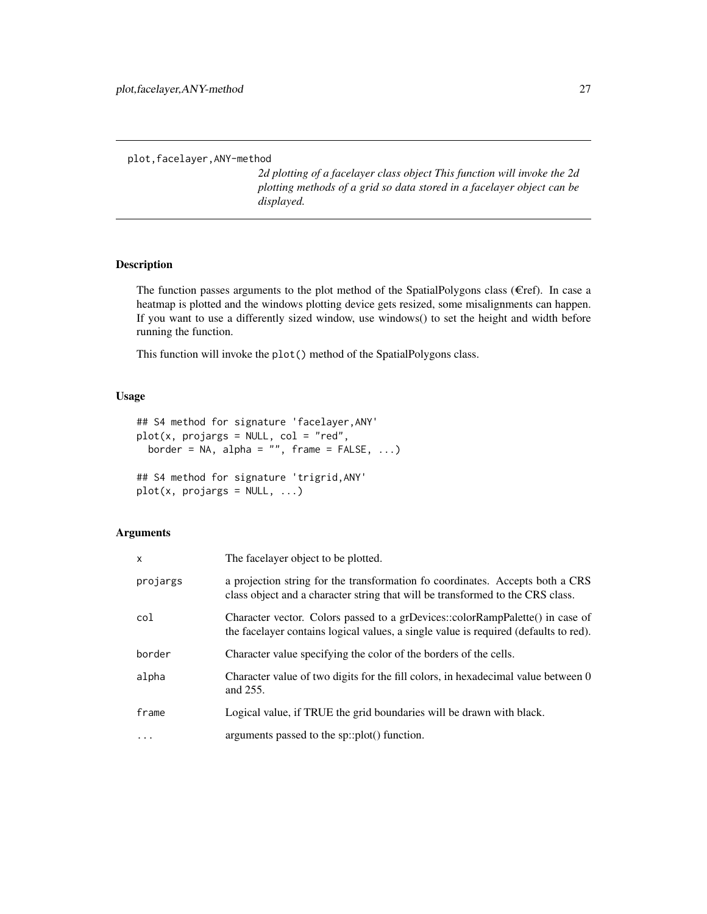<span id="page-26-0"></span>plot,facelayer,ANY-method

*2d plotting of a facelayer class object This function will invoke the 2d plotting methods of a grid so data stored in a facelayer object can be displayed.*

#### Description

The function passes arguments to the plot method of the SpatialPolygons class ( $E$ ref). In case a heatmap is plotted and the windows plotting device gets resized, some misalignments can happen. If you want to use a differently sized window, use windows() to set the height and width before running the function.

This function will invoke the plot() method of the SpatialPolygons class.

#### Usage

```
## S4 method for signature 'facelayer,ANY'
plot(x, projargs = NULL, col = "red",border = NA, alpha = \overset{in}{''}, frame = FALSE, ...)
## S4 method for signature 'trigrid,ANY'
plot(x, projargs = NULL, ...)
```
## Arguments

| $\mathsf{x}$ | The facelayer object to be plotted.                                                                                                                                   |
|--------------|-----------------------------------------------------------------------------------------------------------------------------------------------------------------------|
| projargs     | a projection string for the transformation fo coordinates. Accepts both a CRS<br>class object and a character string that will be transformed to the CRS class.       |
| col          | Character vector. Colors passed to a grDevices::colorRampPalette() in case of<br>the facelayer contains logical values, a single value is required (defaults to red). |
| border       | Character value specifying the color of the borders of the cells.                                                                                                     |
| alpha        | Character value of two digits for the fill colors, in hexadecimal value between 0<br>and 255.                                                                         |
| frame        | Logical value, if TRUE the grid boundaries will be drawn with black.                                                                                                  |
| $\ddotsc$    | arguments passed to the sp::plot() function.                                                                                                                          |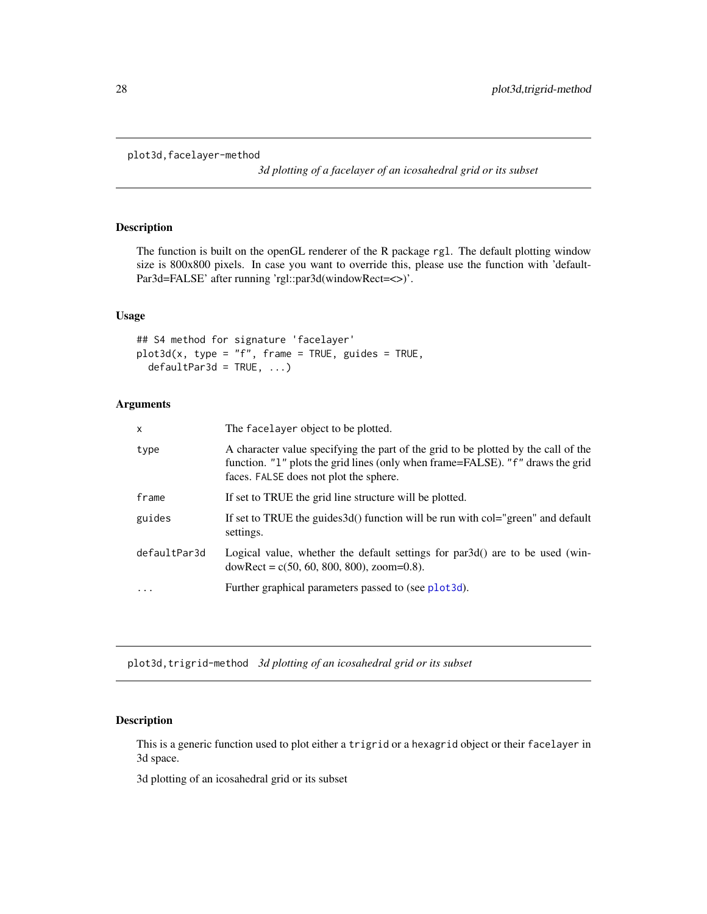```
plot3d,facelayer-method
```
*3d plotting of a facelayer of an icosahedral grid or its subset*

## Description

The function is built on the openGL renderer of the R package rgl. The default plotting window size is 800x800 pixels. In case you want to override this, please use the function with 'default-Par3d=FALSE' after running 'rgl::par3d(windowRect=<>)'.

#### Usage

## S4 method for signature 'facelayer'  $plot3d(x, type = "f", frame = TRUE, guides = TRUE,$  $defaultPar3d = TRUE, ...$ 

#### Arguments

| $\mathsf{x}$ | The facelayer object to be plotted.                                                                                                                                                                            |
|--------------|----------------------------------------------------------------------------------------------------------------------------------------------------------------------------------------------------------------|
| type         | A character value specifying the part of the grid to be plotted by the call of the<br>function. "1" plots the grid lines (only when frame=FALSE). "f" draws the grid<br>faces. FALSE does not plot the sphere. |
| frame        | If set to TRUE the grid line structure will be plotted.                                                                                                                                                        |
| guides       | If set to TRUE the guides 3d() function will be run with col="green" and default<br>settings.                                                                                                                  |
| defaultPar3d | Logical value, whether the default settings for par3d() are to be used (win-<br>$downRect = c(50, 60, 800, 800)$ , zoom=0.8).                                                                                  |
| .            | Further graphical parameters passed to (see plot3d).                                                                                                                                                           |

plot3d,trigrid-method *3d plotting of an icosahedral grid or its subset*

## Description

This is a generic function used to plot either a trigrid or a hexagrid object or their facelayer in 3d space.

3d plotting of an icosahedral grid or its subset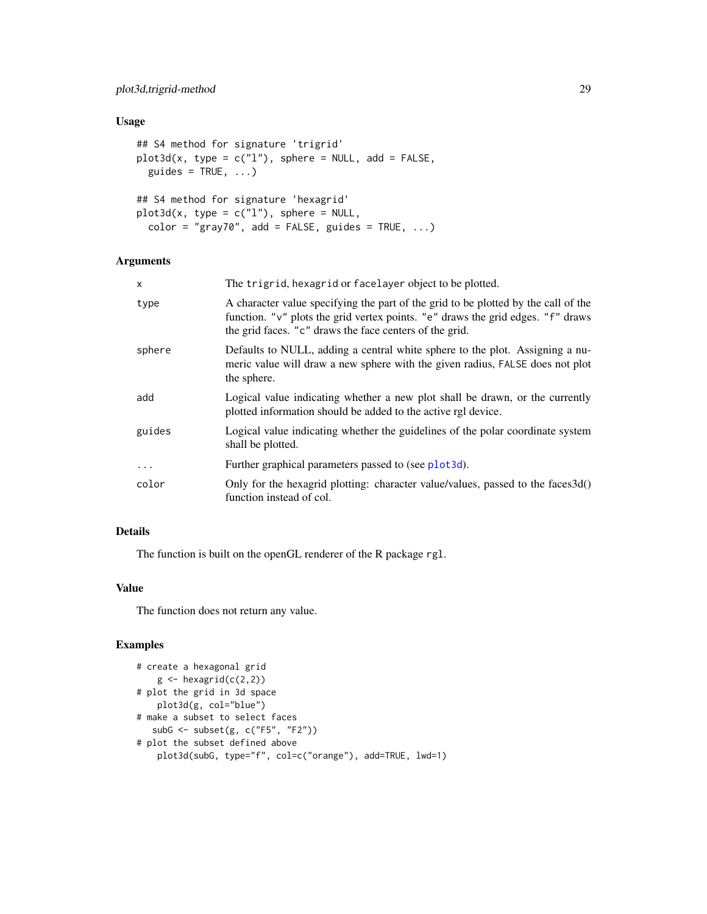## <span id="page-28-0"></span>Usage

```
## S4 method for signature 'trigrid'
plot3d(x, type = c("l"), sphere = NULL, add = FALSE,
 guides = TRUE, ...)
## S4 method for signature 'hexagrid'
plot3d(x, type = c("l"), sphere = NULL,
 color = "gray70", add = FALSE, guides = TRUE, ...)
```
## Arguments

| $\mathsf{x}$ | The trigrid, hexagrid or facelayer object to be plotted.                                                                                                                                                                         |
|--------------|----------------------------------------------------------------------------------------------------------------------------------------------------------------------------------------------------------------------------------|
| type         | A character value specifying the part of the grid to be plotted by the call of the<br>function. "v" plots the grid vertex points. "e" draws the grid edges. "f" draws<br>the grid faces. "c" draws the face centers of the grid. |
| sphere       | Defaults to NULL, adding a central white sphere to the plot. Assigning a nu-<br>meric value will draw a new sphere with the given radius, FALSE does not plot<br>the sphere.                                                     |
| add          | Logical value indicating whether a new plot shall be drawn, or the currently<br>plotted information should be added to the active rgl device.                                                                                    |
| guides       | Logical value indicating whether the guidelines of the polar coordinate system<br>shall be plotted.                                                                                                                              |
| $\ddotsc$    | Further graphical parameters passed to (see plot3d).                                                                                                                                                                             |
| color        | Only for the hexagrid plotting: character value/values, passed to the faces3d()<br>function instead of col.                                                                                                                      |

## Details

The function is built on the openGL renderer of the R package rgl.

#### Value

The function does not return any value.

```
# create a hexagonal grid
   g \leftarrow hexagrid(c(2,2))
# plot the grid in 3d space
   plot3d(g, col="blue")
# make a subset to select faces
  subG <- subset(g, c("F5", "F2"))
# plot the subset defined above
   plot3d(subG, type="f", col=c("orange"), add=TRUE, lwd=1)
```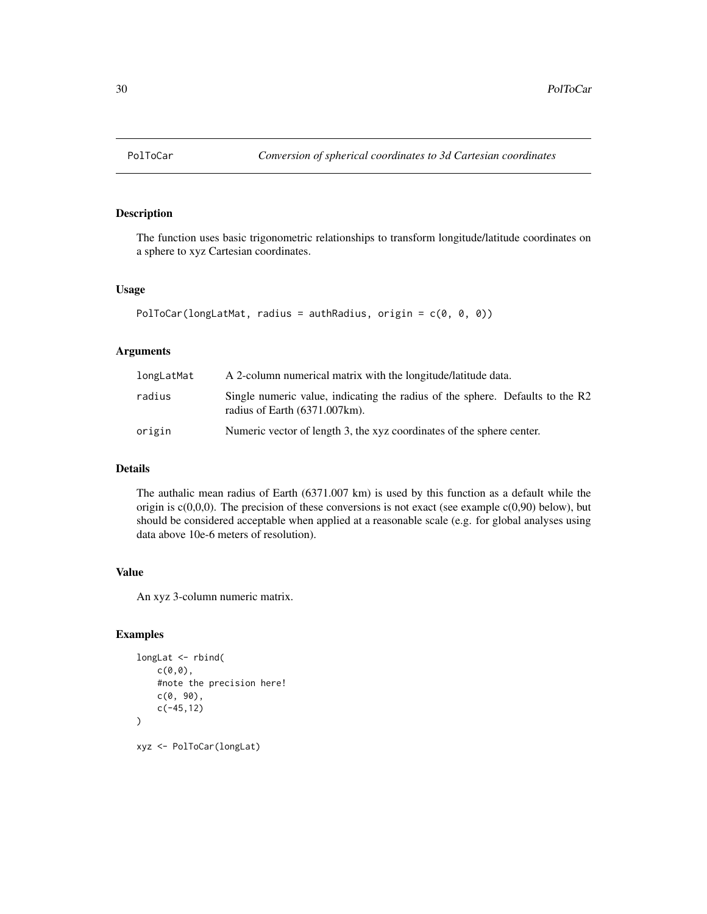<span id="page-29-0"></span>

The function uses basic trigonometric relationships to transform longitude/latitude coordinates on a sphere to xyz Cartesian coordinates.

#### Usage

```
PolToCar(longLatMat, radius = authRadius, origin = c(0, 0, 0))
```
## Arguments

| longLatMat | A 2-column numerical matrix with the longitude/latitude data.                                                             |
|------------|---------------------------------------------------------------------------------------------------------------------------|
| radius     | Single numeric value, indicating the radius of the sphere. Defaults to the R2<br>radius of Earth $(6371.007 \text{km})$ . |
| origin     | Numeric vector of length 3, the xyz coordinates of the sphere center.                                                     |

### Details

The authalic mean radius of Earth (6371.007 km) is used by this function as a default while the origin is  $c(0,0,0)$ . The precision of these conversions is not exact (see example  $c(0,90)$  below), but should be considered acceptable when applied at a reasonable scale (e.g. for global analyses using data above 10e-6 meters of resolution).

#### Value

An xyz 3-column numeric matrix.

```
longLat <- rbind(
    c(\emptyset, \emptyset),
    #note the precision here!
    c(0, 90),
    c(-45,12)
)
xyz <- PolToCar(longLat)
```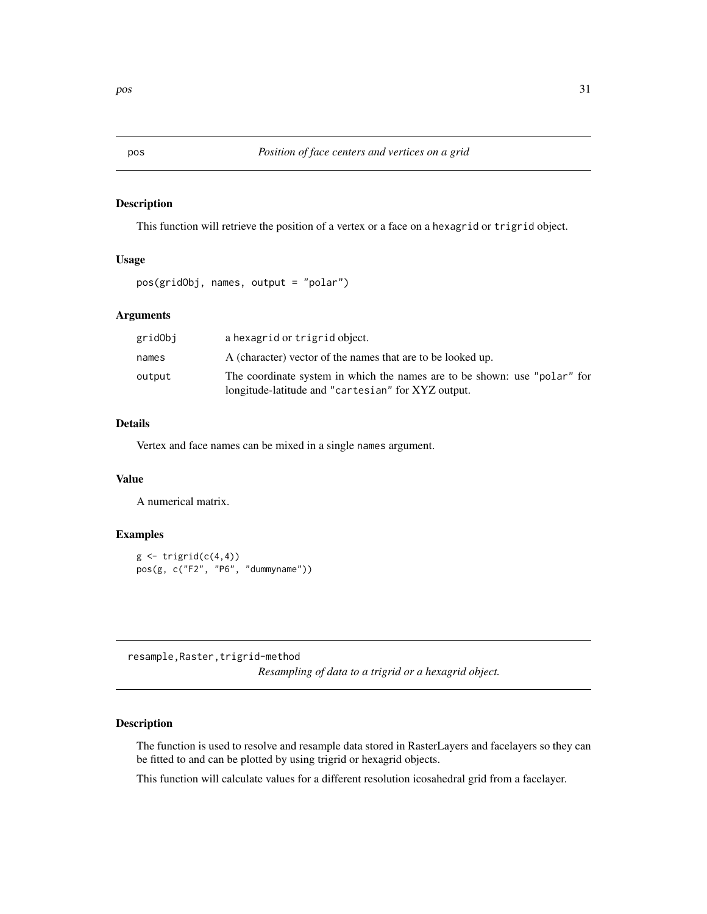<span id="page-30-0"></span>

This function will retrieve the position of a vertex or a face on a hexagrid or trigrid object.

## Usage

```
pos(gridObj, names, output = "polar")
```
#### Arguments

| gridObj | a hexagrid or trigrid object.                                                                                                   |
|---------|---------------------------------------------------------------------------------------------------------------------------------|
| names   | A (character) vector of the names that are to be looked up.                                                                     |
| output  | The coordinate system in which the names are to be shown: use "polar" for<br>longitude-latitude and "cartesian" for XYZ output. |

#### Details

Vertex and face names can be mixed in a single names argument.

## Value

A numerical matrix.

#### Examples

```
g \leftarrow \text{triprid}(c(4,4))pos(g, c("F2", "P6", "dummyname"))
```
resample, Raster, trigrid-method *Resampling of data to a trigrid or a hexagrid object.*

## Description

The function is used to resolve and resample data stored in RasterLayers and facelayers so they can be fitted to and can be plotted by using trigrid or hexagrid objects.

This function will calculate values for a different resolution icosahedral grid from a facelayer.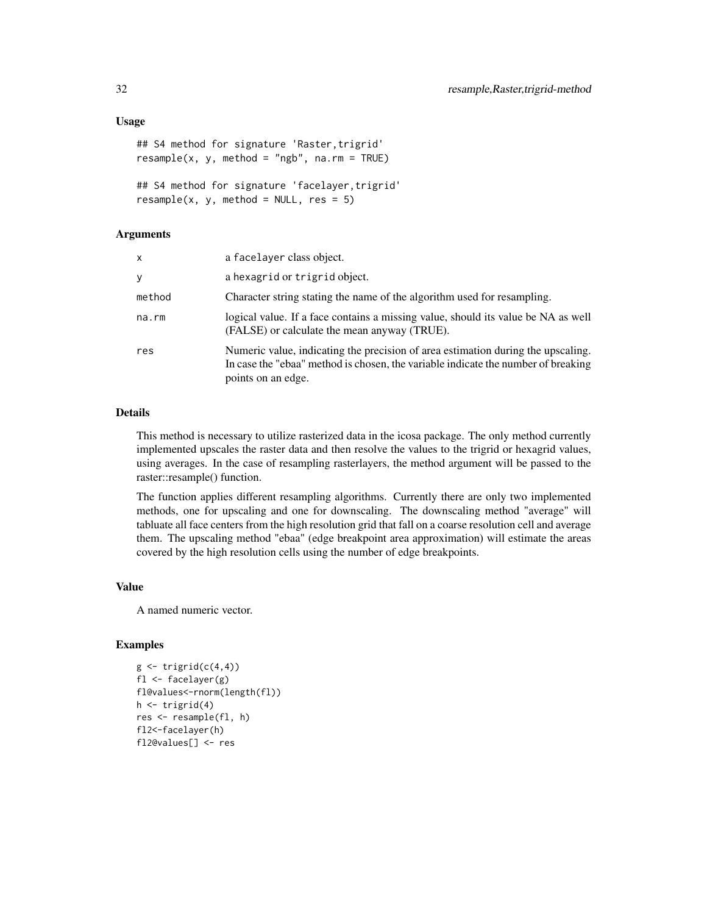#### Usage

```
## S4 method for signature 'Raster, trigrid'
resample(x, y, method = "ngb", na.rm = TRUE)## S4 method for signature 'facelayer,trigrid'
resample(x, y, method = NULL, res = 5)
```
#### Arguments

| X      | a facelayer class object.                                                                                                                                                                   |
|--------|---------------------------------------------------------------------------------------------------------------------------------------------------------------------------------------------|
| У      | a hexagrid or trigrid object.                                                                                                                                                               |
| method | Character string stating the name of the algorithm used for resampling.                                                                                                                     |
| na.rm  | logical value. If a face contains a missing value, should its value be NA as well<br>(FALSE) or calculate the mean anyway (TRUE).                                                           |
| res    | Numeric value, indicating the precision of area estimation during the upscaling.<br>In case the "ebaa" method is chosen, the variable indicate the number of breaking<br>points on an edge. |

#### Details

This method is necessary to utilize rasterized data in the icosa package. The only method currently implemented upscales the raster data and then resolve the values to the trigrid or hexagrid values, using averages. In the case of resampling rasterlayers, the method argument will be passed to the raster::resample() function.

The function applies different resampling algorithms. Currently there are only two implemented methods, one for upscaling and one for downscaling. The downscaling method "average" will tabluate all face centers from the high resolution grid that fall on a coarse resolution cell and average them. The upscaling method "ebaa" (edge breakpoint area approximation) will estimate the areas covered by the high resolution cells using the number of edge breakpoints.

#### Value

A named numeric vector.

```
g \leftarrow \text{triprid}(c(4,4))fl \leq facelayer(g)
fl@values<-rnorm(length(fl))
h <- trigrid(4)
res <- resample(fl, h)
fl2<-facelayer(h)
fl2@values[] <- res
```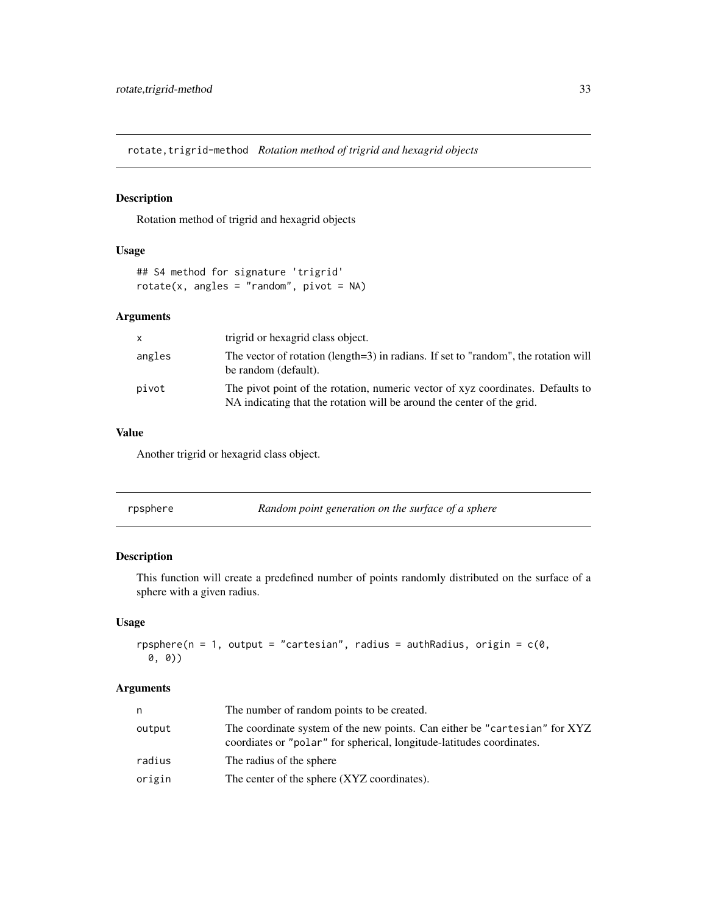<span id="page-32-0"></span>rotate, trigrid-method *Rotation method of trigrid and hexagrid objects* 

## Description

Rotation method of trigrid and hexagrid objects

## Usage

```
## S4 method for signature 'trigrid'
rotate(x, angles = "random", pivot = NA)
```
## Arguments

|        | trigrid or hexagrid class object.                                                                                                                         |
|--------|-----------------------------------------------------------------------------------------------------------------------------------------------------------|
| angles | The vector of rotation (length=3) in radians. If set to "random", the rotation will<br>be random (default).                                               |
| pivot  | The pivot point of the rotation, numeric vector of xyz coordinates. Defaults to<br>NA indicating that the rotation will be around the center of the grid. |

#### Value

Another trigrid or hexagrid class object.

| rpsphere | Random point generation on the surface of a sphere |
|----------|----------------------------------------------------|
|          |                                                    |

## Description

This function will create a predefined number of points randomly distributed on the surface of a sphere with a given radius.

## Usage

```
rpsphere(n = 1, output = "cartesian", radius = authRadius, origin = c(0),
 0, 0))
```
## Arguments

| n      | The number of random points to be created.                                                                                                          |
|--------|-----------------------------------------------------------------------------------------------------------------------------------------------------|
| output | The coordinate system of the new points. Can either be "cartesian" for XYZ<br>coordiates or "polar" for spherical, longitude-latitudes coordinates. |
| radius | The radius of the sphere                                                                                                                            |
| origin | The center of the sphere (XYZ coordinates).                                                                                                         |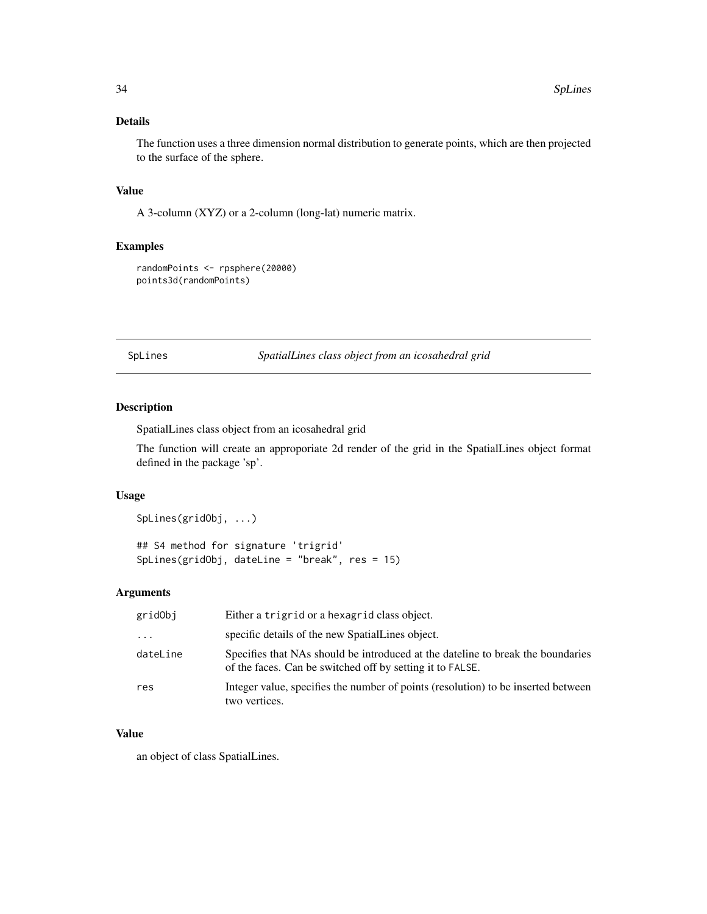## <span id="page-33-0"></span>Details

The function uses a three dimension normal distribution to generate points, which are then projected to the surface of the sphere.

#### Value

A 3-column (XYZ) or a 2-column (long-lat) numeric matrix.

## Examples

randomPoints <- rpsphere(20000) points3d(randomPoints)

SpLines *SpatialLines class object from an icosahedral grid*

## Description

SpatialLines class object from an icosahedral grid

The function will create an approporiate 2d render of the grid in the SpatialLines object format defined in the package 'sp'.

#### Usage

## S4 method for signature 'trigrid' SpLines(gridObj, dateLine = "break", res = 15)

#### Arguments

| gridObj  | Either a trigrid or a hexagrid class object.                                                                                                 |
|----------|----------------------------------------------------------------------------------------------------------------------------------------------|
| $\ddots$ | specific details of the new SpatialLines object.                                                                                             |
| dateLine | Specifies that NAs should be introduced at the dateline to break the boundaries<br>of the faces. Can be switched off by setting it to FALSE. |
| res      | Integer value, specifies the number of points (resolution) to be inserted between<br>two vertices.                                           |

#### Value

an object of class SpatialLines.

SpLines(gridObj, ...)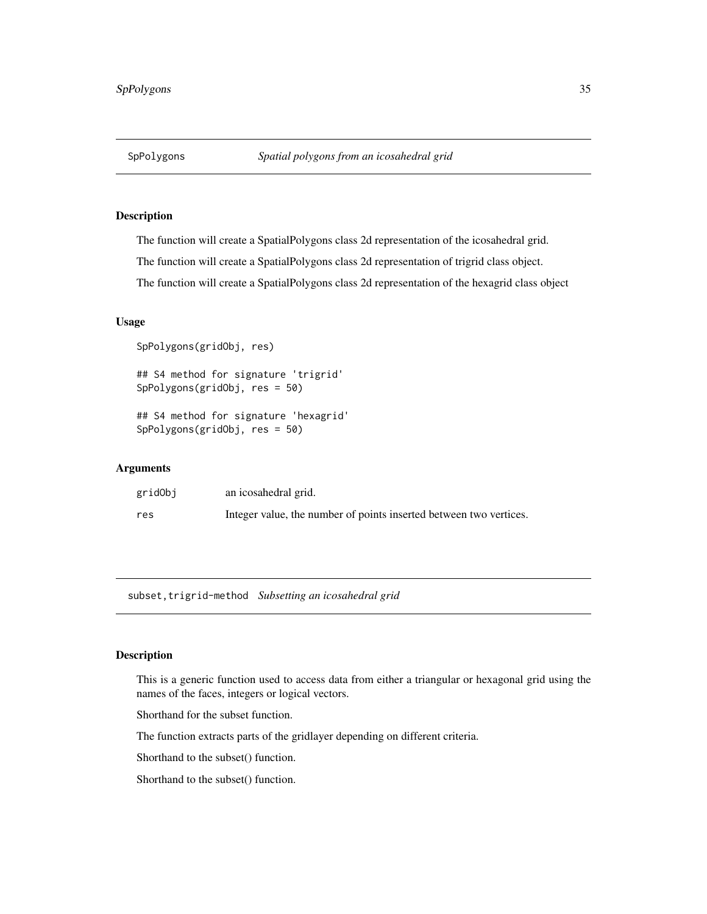<span id="page-34-0"></span>

The function will create a SpatialPolygons class 2d representation of the icosahedral grid.

The function will create a SpatialPolygons class 2d representation of trigrid class object.

The function will create a SpatialPolygons class 2d representation of the hexagrid class object

#### Usage

```
SpPolygons(gridObj, res)
```
## S4 method for signature 'trigrid' SpPolygons(gridObj, res = 50)

## S4 method for signature 'hexagrid' SpPolygons(gridObj, res = 50)

#### Arguments

| gridObj | an icosahedral grid.                                               |
|---------|--------------------------------------------------------------------|
| res     | Integer value, the number of points inserted between two vertices. |

subset, trigrid-method Subsetting an icosahedral grid

#### Description

This is a generic function used to access data from either a triangular or hexagonal grid using the names of the faces, integers or logical vectors.

Shorthand for the subset function.

The function extracts parts of the gridlayer depending on different criteria.

Shorthand to the subset() function.

Shorthand to the subset() function.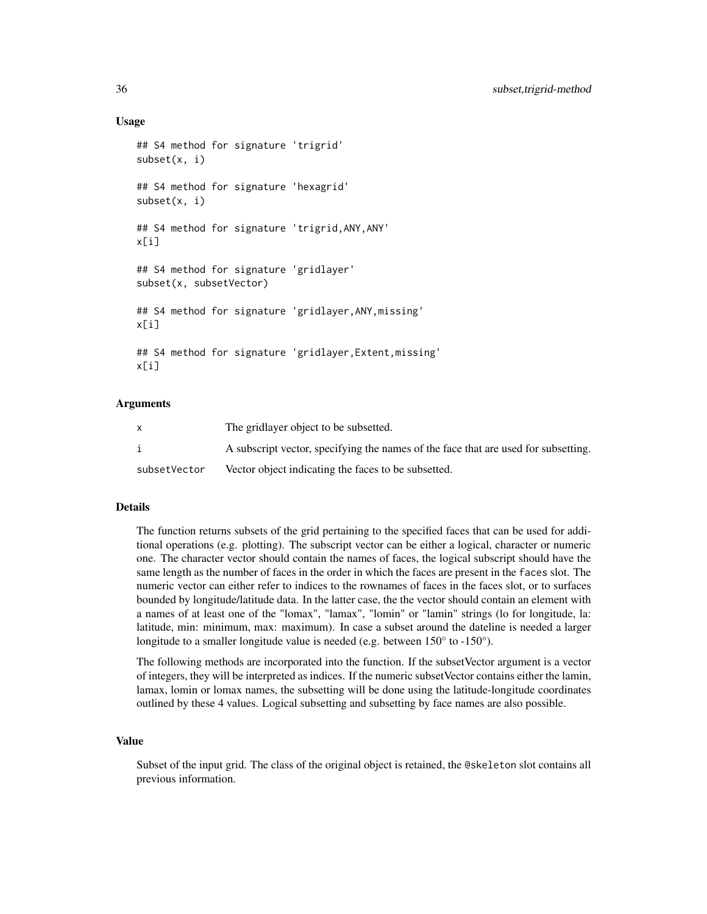#### Usage

```
## S4 method for signature 'trigrid'
subset(x, i)
## S4 method for signature 'hexagrid'
subset(x, i)
## S4 method for signature 'trigrid,ANY,ANY'
x[i]
## S4 method for signature 'gridlayer'
subset(x, subsetVector)
## S4 method for signature 'gridlayer,ANY,missing'
x[i]
## S4 method for signature 'gridlayer,Extent,missing'
x[i]
```
#### Arguments

|              | The gridlayer object to be subsetted.                                              |
|--------------|------------------------------------------------------------------------------------|
|              | A subscript vector, specifying the names of the face that are used for subsetting. |
| subsetVector | Vector object indicating the faces to be subsetted.                                |

#### Details

The function returns subsets of the grid pertaining to the specified faces that can be used for additional operations (e.g. plotting). The subscript vector can be either a logical, character or numeric one. The character vector should contain the names of faces, the logical subscript should have the same length as the number of faces in the order in which the faces are present in the faces slot. The numeric vector can either refer to indices to the rownames of faces in the faces slot, or to surfaces bounded by longitude/latitude data. In the latter case, the the vector should contain an element with a names of at least one of the "lomax", "lamax", "lomin" or "lamin" strings (lo for longitude, la: latitude, min: minimum, max: maximum). In case a subset around the dateline is needed a larger longitude to a smaller longitude value is needed (e.g. between  $150^{\circ}$  to -150°).

The following methods are incorporated into the function. If the subsetVector argument is a vector of integers, they will be interpreted as indices. If the numeric subsetVector contains either the lamin, lamax, lomin or lomax names, the subsetting will be done using the latitude-longitude coordinates outlined by these 4 values. Logical subsetting and subsetting by face names are also possible.

## Value

Subset of the input grid. The class of the original object is retained, the @skeleton slot contains all previous information.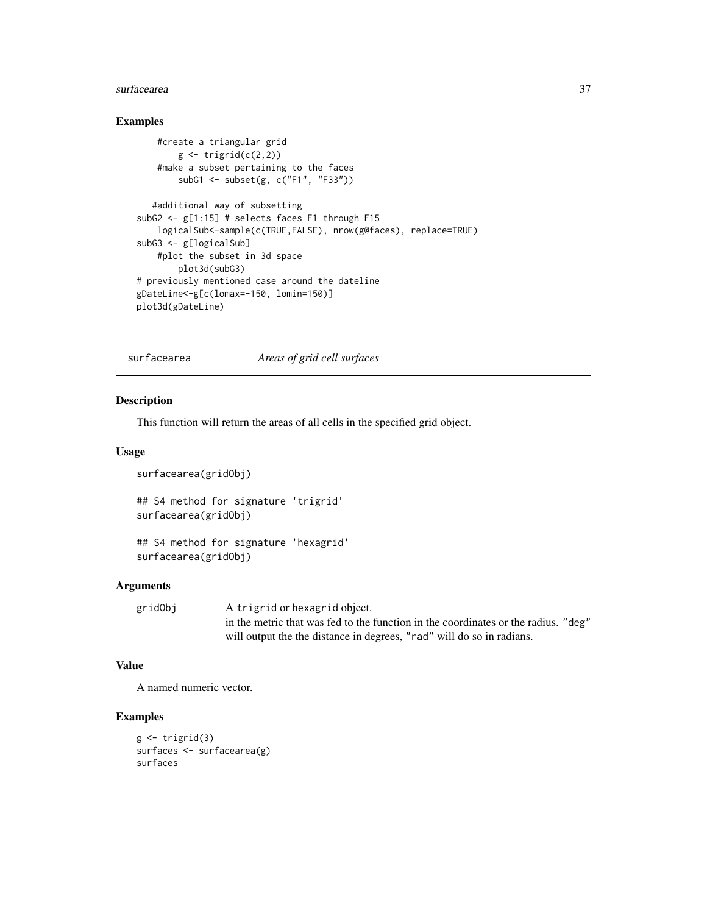#### <span id="page-36-0"></span>surfacearea  $37$

## Examples

```
#create a triangular grid
       g \leftarrow \text{trigrid}(c(2,2))#make a subset pertaining to the faces
        subG1 <- subset(g, c("F1", "F33"))
  #additional way of subsetting
subG2 <- g[1:15] # selects faces F1 through F15
    logicalSub<-sample(c(TRUE,FALSE), nrow(g@faces), replace=TRUE)
subG3 <- g[logicalSub]
    #plot the subset in 3d space
        plot3d(subG3)
# previously mentioned case around the dateline
gDateLine<-g[c(lomax=-150, lomin=150)]
plot3d(gDateLine)
```
surfacearea *Areas of grid cell surfaces*

#### Description

This function will return the areas of all cells in the specified grid object.

#### Usage

```
surfacearea(gridObj)
```
## S4 method for signature 'trigrid' surfacearea(gridObj)

## S4 method for signature 'hexagrid' surfacearea(gridObj)

#### Arguments

| gridObj | A trigrid or hexagrid object.                                                      |
|---------|------------------------------------------------------------------------------------|
|         | in the metric that was fed to the function in the coordinates or the radius. "deg" |
|         | will output the the distance in degrees, "rad" will do so in radians.              |

## Value

A named numeric vector.

```
g \leftarrow \text{trigrid}(3)surfaces <- surfacearea(g)
surfaces
```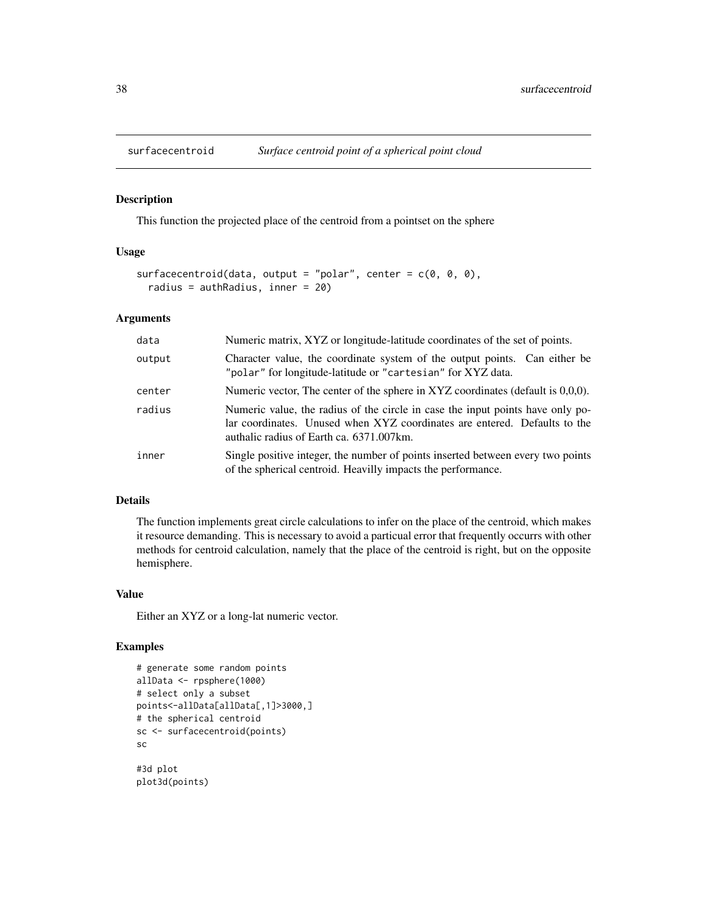<span id="page-37-0"></span>

This function the projected place of the centroid from a pointset on the sphere

#### Usage

```
surfacecentroid(data, output = "polar", center = c(\theta, \theta, \theta),
  radius = authRadius, inner = 20)
```
#### Arguments

| data   | Numeric matrix, XYZ or longitude-latitude coordinates of the set of points.                                                                                                                             |  |
|--------|---------------------------------------------------------------------------------------------------------------------------------------------------------------------------------------------------------|--|
| output | Character value, the coordinate system of the output points. Can either be<br>"polar" for longitude-latitude or "cartesian" for XYZ data.                                                               |  |
| center | Numeric vector, The center of the sphere in XYZ coordinates (default is $0,0,0$ ).                                                                                                                      |  |
| radius | Numeric value, the radius of the circle in case the input points have only po-<br>lar coordinates. Unused when XYZ coordinates are entered. Defaults to the<br>authalic radius of Earth ca. 6371.007km. |  |
| inner  | Single positive integer, the number of points inserted between every two points<br>of the spherical centroid. Heavilly impacts the performance.                                                         |  |

#### Details

The function implements great circle calculations to infer on the place of the centroid, which makes it resource demanding. This is necessary to avoid a particual error that frequently occurrs with other methods for centroid calculation, namely that the place of the centroid is right, but on the opposite hemisphere.

#### Value

Either an XYZ or a long-lat numeric vector.

```
# generate some random points
allData <- rpsphere(1000)
# select only a subset
points<-allData[allData[,1]>3000,]
# the spherical centroid
sc <- surfacecentroid(points)
sc
#3d plot
plot3d(points)
```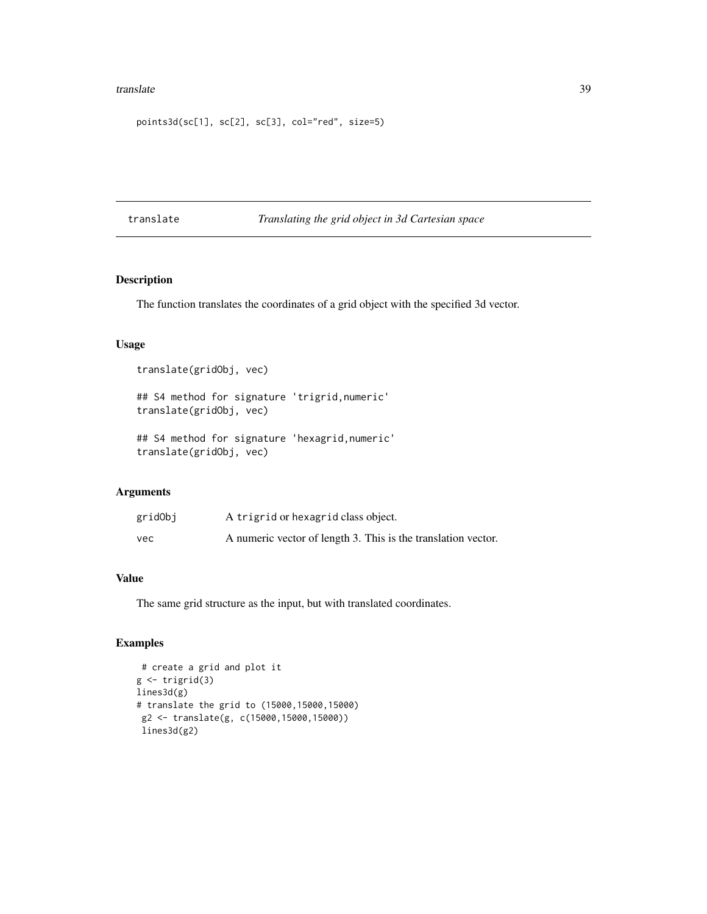#### <span id="page-38-0"></span>translate 39

```
points3d(sc[1], sc[2], sc[3], col="red", size=5)
```
translate *Translating the grid object in 3d Cartesian space*

# Description

The function translates the coordinates of a grid object with the specified 3d vector.

#### Usage

```
translate(gridObj, vec)
```
## S4 method for signature 'trigrid,numeric' translate(gridObj, vec)

```
## S4 method for signature 'hexagrid,numeric'
translate(gridObj, vec)
```
## Arguments

| gridObj | A trigrid or hexagrid class object.                           |
|---------|---------------------------------------------------------------|
| vec     | A numeric vector of length 3. This is the translation vector. |

#### Value

The same grid structure as the input, but with translated coordinates.

```
# create a grid and plot it
g \leftarrow \text{trigrid}(3)lines3d(g)
# translate the grid to (15000,15000,15000)
 g2 <- translate(g, c(15000,15000,15000))
 lines3d(g2)
```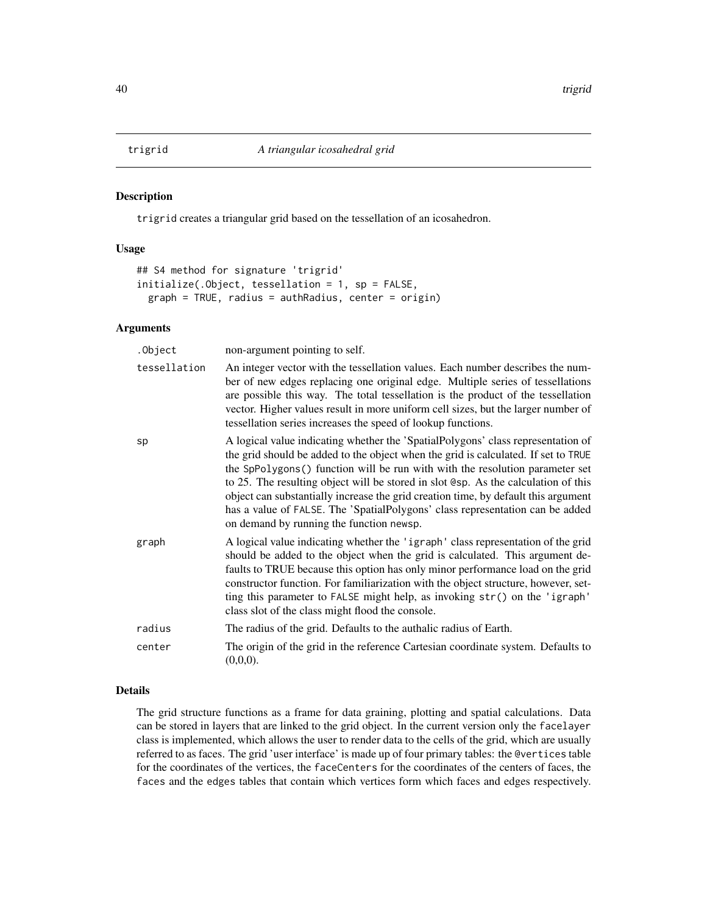<span id="page-39-0"></span>

trigrid creates a triangular grid based on the tessellation of an icosahedron.

#### Usage

```
## S4 method for signature 'trigrid'
initialize(.Object, tessellation = 1, sp = FALSE,
  graph = TRUE, radius = authRadius, center = origin)
```
## Arguments

| .Object      | non-argument pointing to self.                                                                                                                                                                                                                                                                                                                                                                                                                                                                                                                                   |
|--------------|------------------------------------------------------------------------------------------------------------------------------------------------------------------------------------------------------------------------------------------------------------------------------------------------------------------------------------------------------------------------------------------------------------------------------------------------------------------------------------------------------------------------------------------------------------------|
| tessellation | An integer vector with the tessellation values. Each number describes the num-<br>ber of new edges replacing one original edge. Multiple series of tessellations<br>are possible this way. The total tessellation is the product of the tessellation<br>vector. Higher values result in more uniform cell sizes, but the larger number of<br>tessellation series increases the speed of lookup functions.                                                                                                                                                        |
| sp           | A logical value indicating whether the 'SpatialPolygons' class representation of<br>the grid should be added to the object when the grid is calculated. If set to TRUE<br>the SpPolygons () function will be run with with the resolution parameter set<br>to 25. The resulting object will be stored in slot @sp. As the calculation of this<br>object can substantially increase the grid creation time, by default this argument<br>has a value of FALSE. The 'SpatialPolygons' class representation can be added<br>on demand by running the function newsp. |
| graph        | A logical value indicating whether the 'igraph' class representation of the grid<br>should be added to the object when the grid is calculated. This argument de-<br>faults to TRUE because this option has only minor performance load on the grid<br>constructor function. For familiarization with the object structure, however, set-<br>ting this parameter to FALSE might help, as invoking str() on the 'igraph'<br>class slot of the class might flood the console.                                                                                       |
| radius       | The radius of the grid. Defaults to the authalic radius of Earth.                                                                                                                                                                                                                                                                                                                                                                                                                                                                                                |
| center       | The origin of the grid in the reference Cartesian coordinate system. Defaults to<br>(0,0,0).                                                                                                                                                                                                                                                                                                                                                                                                                                                                     |

## Details

The grid structure functions as a frame for data graining, plotting and spatial calculations. Data can be stored in layers that are linked to the grid object. In the current version only the facelayer class is implemented, which allows the user to render data to the cells of the grid, which are usually referred to as faces. The grid 'user interface' is made up of four primary tables: the @vertices table for the coordinates of the vertices, the faceCenters for the coordinates of the centers of faces, the faces and the edges tables that contain which vertices form which faces and edges respectively.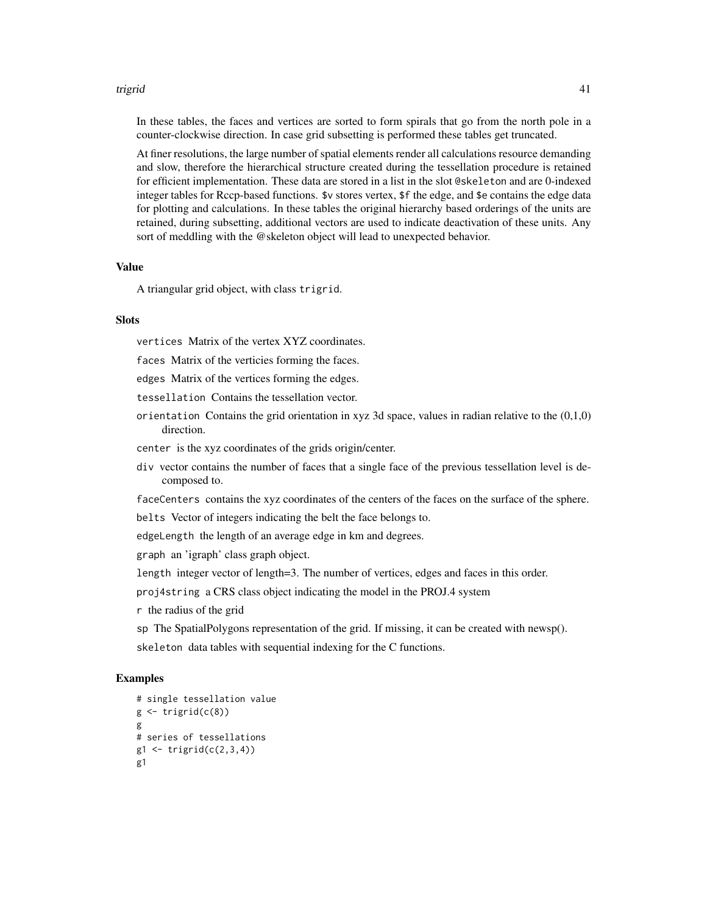#### trigrid 41

In these tables, the faces and vertices are sorted to form spirals that go from the north pole in a counter-clockwise direction. In case grid subsetting is performed these tables get truncated.

At finer resolutions, the large number of spatial elements render all calculations resource demanding and slow, therefore the hierarchical structure created during the tessellation procedure is retained for efficient implementation. These data are stored in a list in the slot @skeleton and are 0-indexed integer tables for Rccp-based functions. \$v stores vertex, \$f the edge, and \$e contains the edge data for plotting and calculations. In these tables the original hierarchy based orderings of the units are retained, during subsetting, additional vectors are used to indicate deactivation of these units. Any sort of meddling with the @skeleton object will lead to unexpected behavior.

#### Value

A triangular grid object, with class trigrid.

#### **Slots**

vertices Matrix of the vertex XYZ coordinates.

faces Matrix of the verticies forming the faces.

edges Matrix of the vertices forming the edges.

tessellation Contains the tessellation vector.

- orientation Contains the grid orientation in xyz 3d space, values in radian relative to the  $(0,1,0)$ direction.
- center is the xyz coordinates of the grids origin/center.
- div vector contains the number of faces that a single face of the previous tessellation level is decomposed to.

faceCenters contains the xyz coordinates of the centers of the faces on the surface of the sphere.

belts Vector of integers indicating the belt the face belongs to.

edgeLength the length of an average edge in km and degrees.

graph an 'igraph' class graph object.

length integer vector of length=3. The number of vertices, edges and faces in this order.

proj4string a CRS class object indicating the model in the PROJ.4 system

r the radius of the grid

sp The SpatialPolygons representation of the grid. If missing, it can be created with newsp(). skeleton data tables with sequential indexing for the C functions.

```
# single tessellation value
g \leftarrow \text{trigrid}(c(8))g
# series of tessellations
g1 \leftarrow \text{triprid}(c(2,3,4))g1
```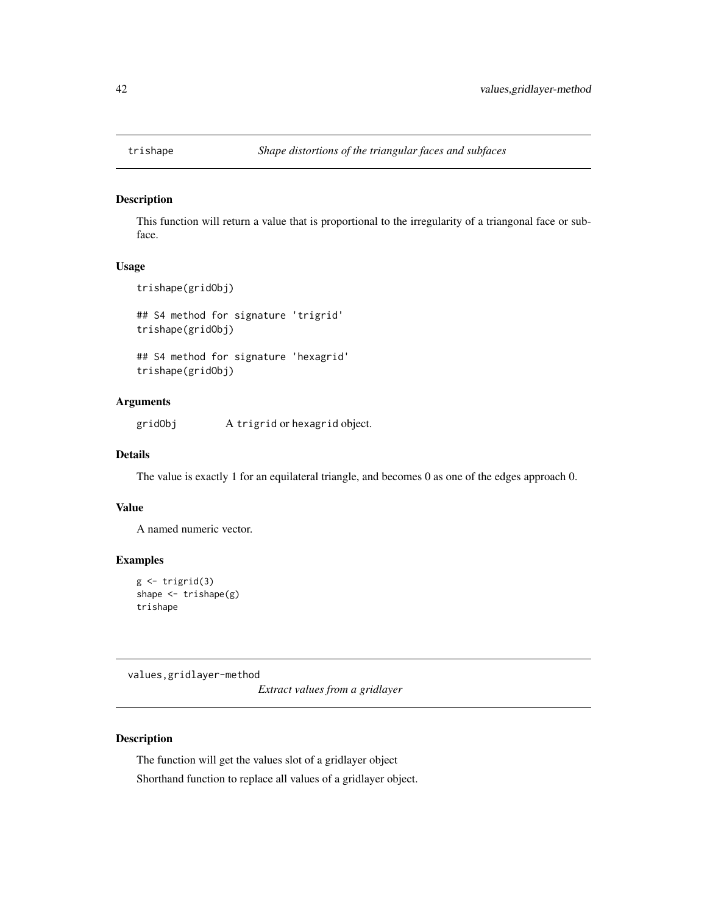<span id="page-41-0"></span>

This function will return a value that is proportional to the irregularity of a triangonal face or subface.

## Usage

```
trishape(gridObj)
```
## S4 method for signature 'trigrid' trishape(gridObj)

## S4 method for signature 'hexagrid' trishape(gridObj)

## Arguments

gridObj A trigrid or hexagrid object.

#### Details

The value is exactly 1 for an equilateral triangle, and becomes 0 as one of the edges approach 0.

## Value

A named numeric vector.

## Examples

```
g \leftarrow \text{trigrid}(3)shape <- trishape(g)
trishape
```
values,gridlayer-method

*Extract values from a gridlayer*

#### Description

The function will get the values slot of a gridlayer object Shorthand function to replace all values of a gridlayer object.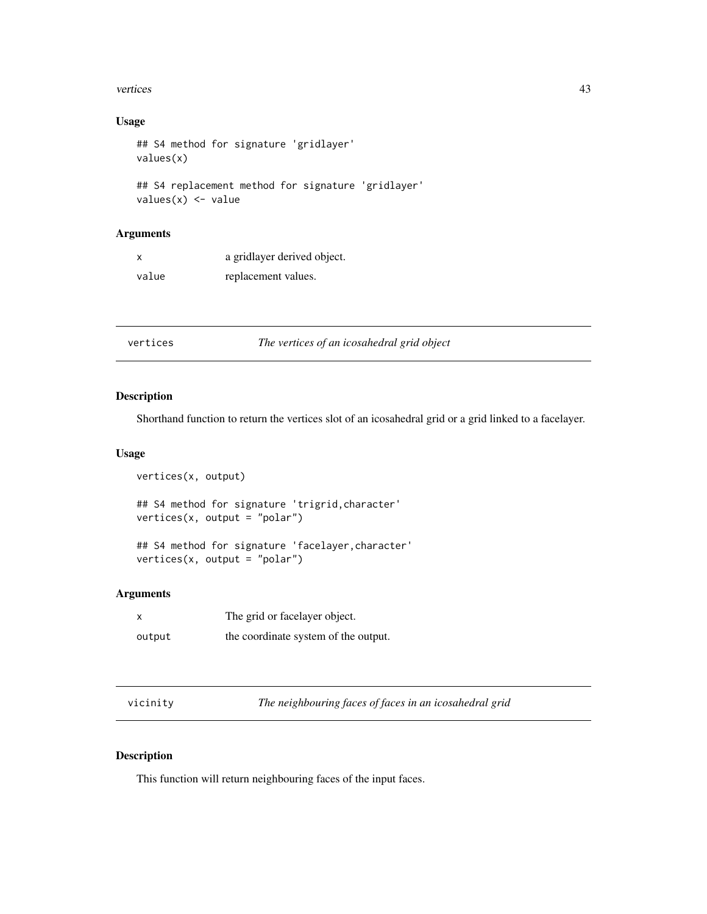#### <span id="page-42-0"></span>vertices and the set of the set of the set of the set of the set of the set of the set of the set of the set of the set of the set of the set of the set of the set of the set of the set of the set of the set of the set of

## Usage

```
## S4 method for signature 'gridlayer'
values(x)
## S4 replacement method for signature 'gridlayer'
```

```
values(x) <- value
```
## Arguments

| x     | a gridlayer derived object. |
|-------|-----------------------------|
| value | replacement values.         |

vertices *The vertices of an icosahedral grid object*

#### Description

Shorthand function to return the vertices slot of an icosahedral grid or a grid linked to a facelayer.

#### Usage

```
vertices(x, output)
## S4 method for signature 'trigrid,character'
vertices(x, output = "polar")
## S4 method for signature 'facelayer,character'
vertices(x, output = "polar")
```
#### Arguments

|        | The grid or facelayer object.        |
|--------|--------------------------------------|
| output | the coordinate system of the output. |

vicinity *The neighbouring faces of faces in an icosahedral grid*

## Description

This function will return neighbouring faces of the input faces.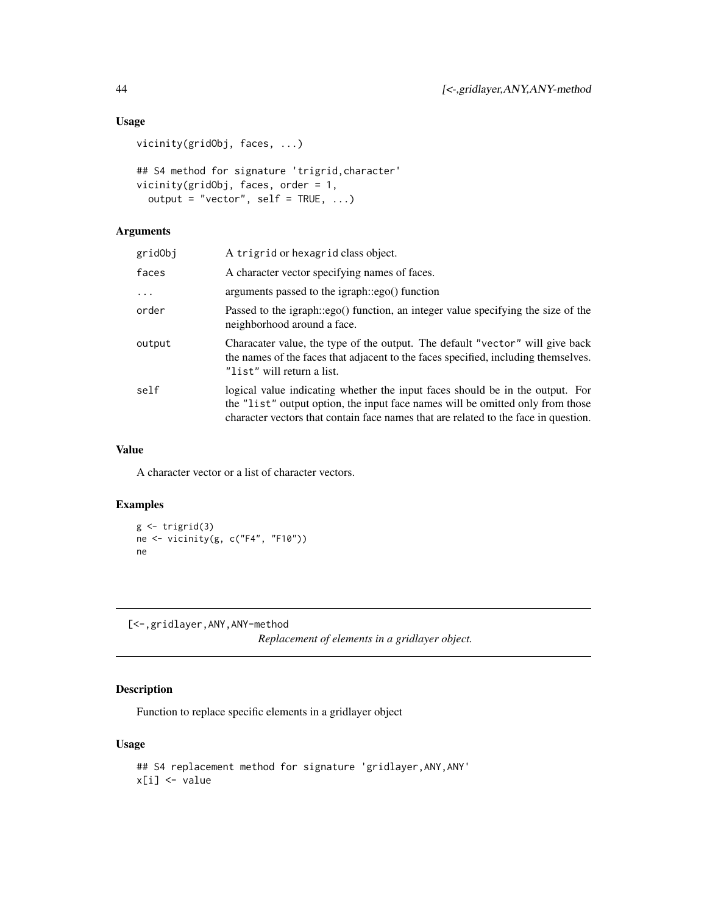# Usage

```
vicinity(gridObj, faces, ...)
## S4 method for signature 'trigrid,character'
vicinity(gridObj, faces, order = 1,
 output = "vector", self = TRUE, ...)
```
#### Arguments

| A trigrid or hexagrid class object.                                                                                                                                                                                                                    |
|--------------------------------------------------------------------------------------------------------------------------------------------------------------------------------------------------------------------------------------------------------|
| A character vector specifying names of faces.                                                                                                                                                                                                          |
| arguments passed to the igraph::ego() function                                                                                                                                                                                                         |
| Passed to the igraph::ego() function, an integer value specifying the size of the<br>neighborhood around a face.                                                                                                                                       |
| Characater value, the type of the output. The default "vector" will give back<br>the names of the faces that adjacent to the faces specified, including themselves.<br>"list" will return a list.                                                      |
| logical value indicating whether the input faces should be in the output. For<br>the "list" output option, the input face names will be omitted only from those<br>character vectors that contain face names that are related to the face in question. |
|                                                                                                                                                                                                                                                        |

#### Value

A character vector or a list of character vectors.

#### Examples

```
g \leftarrow \text{trigrid}(3)ne <- vicinity(g, c("F4", "F10"))
ne
```
[<-,gridlayer,ANY,ANY-method

*Replacement of elements in a gridlayer object.*

## Description

Function to replace specific elements in a gridlayer object

## Usage

```
## S4 replacement method for signature 'gridlayer,ANY,ANY'
x[i] <- value
```
<span id="page-43-0"></span>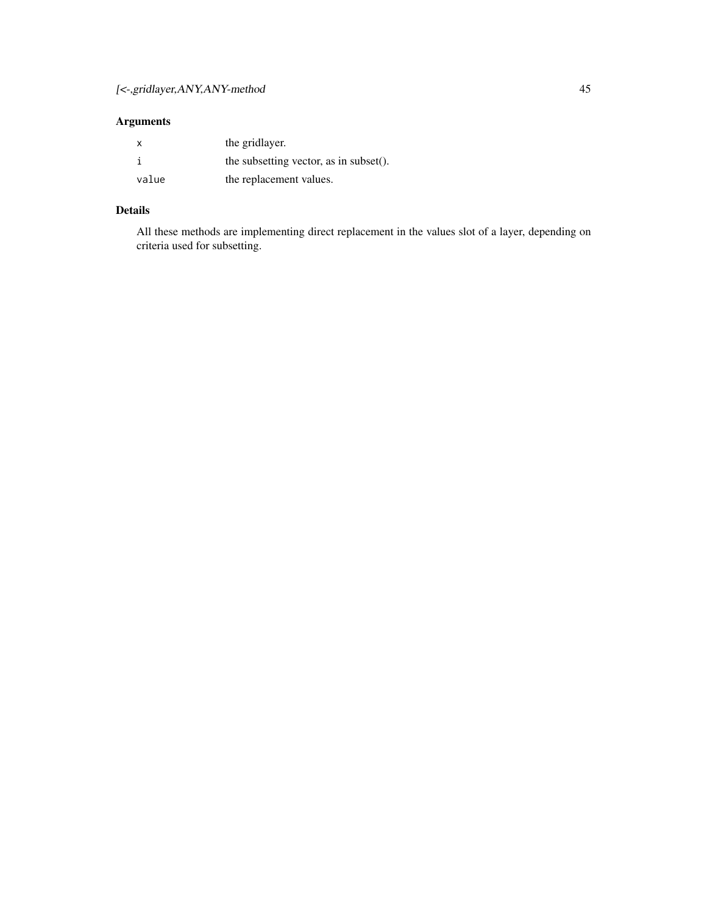# Arguments

|       | the gridlayer.                         |
|-------|----------------------------------------|
|       | the subsetting vector, as in subset(). |
| value | the replacement values.                |

# Details

All these methods are implementing direct replacement in the values slot of a layer, depending on criteria used for subsetting.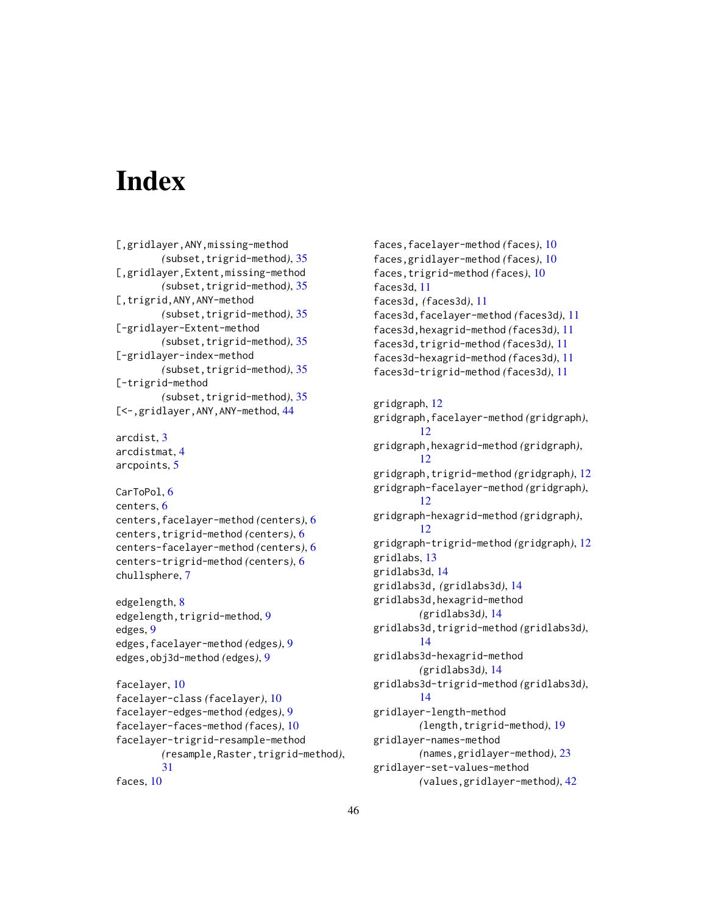# <span id="page-45-0"></span>**Index**

```
[,gridlayer,ANY,missing-method
        (subset,trigrid-method), 35
[,gridlayer,Extent,missing-method
        (subset,trigrid-method), 35
[, trigrid, ANY, ANY-method
        (subset,trigrid-method), 35
[-gridlayer-Extent-method
        (subset,trigrid-method), 35
[-gridlayer-index-method
        (subset,trigrid-method), 35
[-trigrid-method
        (subset,trigrid-method), 35
[<-,gridlayer,ANY,ANY-method, 44
```

```
arcdist, 3
arcdistmat, 4
arcpoints, 5
```

```
CarToPol, 6
centers, 6
centers,facelayer-method (centers), 6
centers,trigrid-method (centers), 6
centers-facelayer-method (centers), 6
centers-trigrid-method (centers), 6
chullsphere, 7
```

```
edgelength, 8
9
edges, 9
edges,facelayer-method (edges), 9
edges,obj3d-method (edges), 9
```

```
facelayer, 10
facelayer-class (facelayer), 10
facelayer-edges-method (edges), 9
facelayer-faces-method (faces), 10
facelayer-trigrid-resample-method
        (resample,Raster,trigrid-method),
        31
faces, 10
```
faces,facelayer-method *(*faces*)*, [10](#page-9-0) faces,gridlayer-method *(*faces*)*, [10](#page-9-0) faces,trigrid-method *(*faces*)*, [10](#page-9-0) faces3d, [11](#page-10-0) faces3d, *(*faces3d*)*, [11](#page-10-0) faces3d,facelayer-method *(*faces3d*)*, [11](#page-10-0) faces3d,hexagrid-method *(*faces3d*)*, [11](#page-10-0) faces3d,trigrid-method *(*faces3d*)*, [11](#page-10-0) faces3d-hexagrid-method *(*faces3d*)*, [11](#page-10-0) faces3d-trigrid-method *(*faces3d*)*, [11](#page-10-0) gridgraph, [12](#page-11-0) gridgraph,facelayer-method *(*gridgraph*)*, [12](#page-11-0) gridgraph,hexagrid-method *(*gridgraph*)*, [12](#page-11-0) gridgraph,trigrid-method *(*gridgraph*)*, [12](#page-11-0) gridgraph-facelayer-method *(*gridgraph*)*, [12](#page-11-0) gridgraph-hexagrid-method *(*gridgraph*)*, [12](#page-11-0) gridgraph-trigrid-method *(*gridgraph*)*, [12](#page-11-0) gridlabs, [13](#page-12-0) gridlabs3d, [14](#page-13-0) gridlabs3d, *(*gridlabs3d*)*, [14](#page-13-0) gridlabs3d,hexagrid-method *(*gridlabs3d*)*, [14](#page-13-0) gridlabs3d,trigrid-method *(*gridlabs3d*)*, [14](#page-13-0) gridlabs3d-hexagrid-method *(*gridlabs3d*)*, [14](#page-13-0) gridlabs3d-trigrid-method *(*gridlabs3d*)*, [14](#page-13-0) gridlayer-length-method *(*length,trigrid-method*)*, [19](#page-18-0) gridlayer-names-method *(*names,gridlayer-method*)*, [23](#page-22-0) gridlayer-set-values-method *(*values,gridlayer-method*)*, [42](#page-41-0)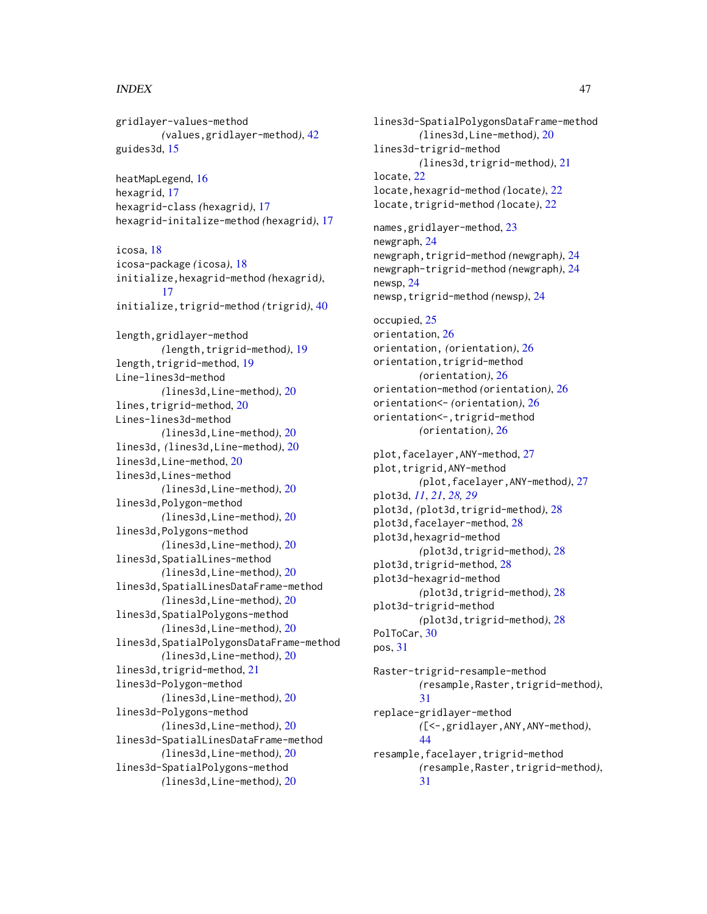#### INDEX 47

gridlayer-values-method *(*values,gridlayer-method*)*, [42](#page-41-0) guides3d, [15](#page-14-0) heatMapLegend, [16](#page-15-0) hexagrid, [17](#page-16-0) hexagrid-class *(*hexagrid*)*, [17](#page-16-0) hexagrid-initalize-method *(*hexagrid*)*, [17](#page-16-0) icosa, [18](#page-17-0) icosa-package *(*icosa*)*, [18](#page-17-0) initialize,hexagrid-method *(*hexagrid*)*, [17](#page-16-0) initialize,trigrid-method *(*trigrid*)*, [40](#page-39-0) length,gridlayer-method *(*length,trigrid-method*)*, [19](#page-18-0) length, trigrid-method, [19](#page-18-0) Line-lines3d-method *(*lines3d,Line-method*)*, [20](#page-19-0) lines,trigrid-method, [20](#page-19-0) Lines-lines3d-method *(*lines3d,Line-method*)*, [20](#page-19-0) lines3d, *(*lines3d,Line-method*)*, [20](#page-19-0) lines3d,Line-method, [20](#page-19-0) lines3d,Lines-method *(*lines3d,Line-method*)*, [20](#page-19-0) lines3d,Polygon-method *(*lines3d,Line-method*)*, [20](#page-19-0) lines3d,Polygons-method *(*lines3d,Line-method*)*, [20](#page-19-0) lines3d,SpatialLines-method *(*lines3d,Line-method*)*, [20](#page-19-0) lines3d,SpatialLinesDataFrame-method *(*lines3d,Line-method*)*, [20](#page-19-0) lines3d,SpatialPolygons-method *(*lines3d,Line-method*)*, [20](#page-19-0) lines3d,SpatialPolygonsDataFrame-method *(*lines3d,Line-method*)*, [20](#page-19-0) lines3d,trigrid-method, [21](#page-20-0) lines3d-Polygon-method *(*lines3d,Line-method*)*, [20](#page-19-0) lines3d-Polygons-method *(*lines3d,Line-method*)*, [20](#page-19-0) lines3d-SpatialLinesDataFrame-method *(*lines3d,Line-method*)*, [20](#page-19-0) lines3d-SpatialPolygons-method *(*lines3d,Line-method*)*, [20](#page-19-0)

lines3d-SpatialPolygonsDataFrame-method *(*lines3d,Line-method*)*, [20](#page-19-0) lines3d-trigrid-method *(*lines3d,trigrid-method*)*, [21](#page-20-0) locate, [22](#page-21-0) locate,hexagrid-method *(*locate*)*, [22](#page-21-0) locate,trigrid-method *(*locate*)*, [22](#page-21-0) names,gridlayer-method, [23](#page-22-0) newgraph, [24](#page-23-0) newgraph,trigrid-method *(*newgraph*)*, [24](#page-23-0) newgraph-trigrid-method *(*newgraph*)*, [24](#page-23-0) newsp, [24](#page-23-0) newsp,trigrid-method *(*newsp*)*, [24](#page-23-0) occupied, [25](#page-24-0) orientation, [26](#page-25-0) orientation, *(*orientation*)*, [26](#page-25-0) orientation,trigrid-method *(*orientation*)*, [26](#page-25-0) orientation-method *(*orientation*)*, [26](#page-25-0) orientation<- *(*orientation*)*, [26](#page-25-0) orientation<-,trigrid-method *(*orientation*)*, [26](#page-25-0) plot,facelayer,ANY-method, [27](#page-26-0) plot, trigrid, ANY-method *(*plot,facelayer,ANY-method*)*, [27](#page-26-0) plot3d, *[11](#page-10-0)*, *[21](#page-20-0)*, *[28,](#page-27-0) [29](#page-28-0)* plot3d, *(*plot3d,trigrid-method*)*, [28](#page-27-0) plot3d,facelayer-method, [28](#page-27-0) plot3d,hexagrid-method *(*plot3d,trigrid-method*)*, [28](#page-27-0) plot3d,trigrid-method, [28](#page-27-0) plot3d-hexagrid-method *(*plot3d,trigrid-method*)*, [28](#page-27-0) plot3d-trigrid-method *(*plot3d,trigrid-method*)*, [28](#page-27-0) PolToCar, [30](#page-29-0) pos, [31](#page-30-0) Raster-trigrid-resample-method *(*resample,Raster,trigrid-method*)*, [31](#page-30-0) replace-gridlayer-method *(*[<-,gridlayer,ANY,ANY-method*)*, [44](#page-43-0) resample,facelayer,trigrid-method *(*resample,Raster,trigrid-method*)*, [31](#page-30-0)